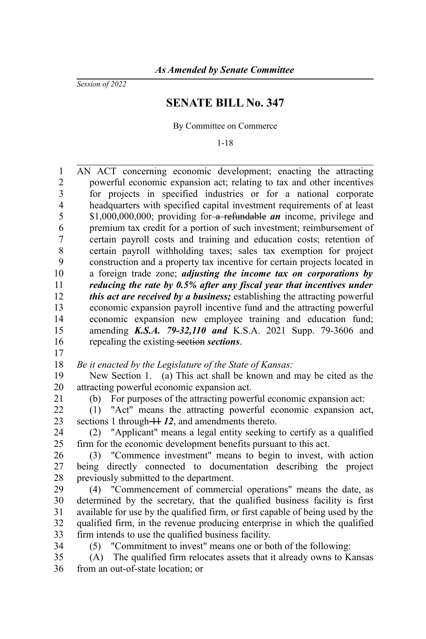*Session of 2022*

## **SENATE BILL No. 347**

By Committee on Commerce

1-18

AN ACT concerning economic development; enacting the attracting powerful economic expansion act; relating to tax and other incentives for projects in specified industries or for a national corporate headquarters with specified capital investment requirements of at least \$1,000,000,000; providing for a refundable *an* income, privilege and premium tax credit for a portion of such investment; reimbursement of certain payroll costs and training and education costs; retention of certain payroll withholding taxes; sales tax exemption for project construction and a property tax incentive for certain projects located in a foreign trade zone; *adjusting the income tax on corporations by reducing the rate by 0.5% after any fiscal year that incentives under this act are received by a business;* establishing the attracting powerful economic expansion payroll incentive fund and the attracting powerful economic expansion new employee training and education fund; amending *K.S.A. 79-32,110 and* K.S.A. 2021 Supp. 79-3606 and repealing the existing section *sections*. 1 2 3 4 5 6 7 8 9 10 11 12 13 14 15 16

17

*Be it enacted by the Legislature of the State of Kansas:* 18

New Section 1. (a) This act shall be known and may be cited as the attracting powerful economic expansion act. 19 20

21

(b) For purposes of the attracting powerful economic expansion act:

(1) "Act" means the attracting powerful economic expansion act, sections 1 through  $+112$ , and amendments thereto. 22 23

(2) "Applicant" means a legal entity seeking to certify as a qualified firm for the economic development benefits pursuant to this act. 24 25

(3) "Commence investment" means to begin to invest, with action being directly connected to documentation describing the project previously submitted to the department. 26 27 28

(4) "Commencement of commercial operations" means the date, as determined by the secretary, that the qualified business facility is first available for use by the qualified firm, or first capable of being used by the qualified firm, in the revenue producing enterprise in which the qualified firm intends to use the qualified business facility. 29 30 31 32 33

34

(5) "Commitment to invest" means one or both of the following:

(A) The qualified firm relocates assets that it already owns to Kansas from an out-of-state location; or 35 36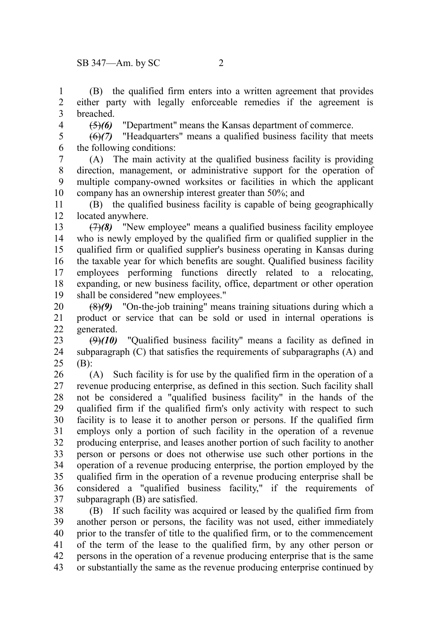(B) the qualified firm enters into a written agreement that provides either party with legally enforceable remedies if the agreement is breached. 1 2 3

4

(5)*(6)* "Department" means the Kansas department of commerce.

(6)*(7)* "Headquarters" means a qualified business facility that meets the following conditions: 5 6

(A) The main activity at the qualified business facility is providing direction, management, or administrative support for the operation of multiple company-owned worksites or facilities in which the applicant company has an ownership interest greater than 50%; and 7 8 9 10

(B) the qualified business facility is capable of being geographically located anywhere. 11 12

(7)*(8)* "New employee" means a qualified business facility employee who is newly employed by the qualified firm or qualified supplier in the qualified firm or qualified supplier's business operating in Kansas during the taxable year for which benefits are sought. Qualified business facility employees performing functions directly related to a relocating, expanding, or new business facility, office, department or other operation shall be considered "new employees." 13 14 15 16 17 18 19

(8)*(9)* "On-the-job training" means training situations during which a product or service that can be sold or used in internal operations is generated. 20 21 22

 $(9)(10)$  "Qualified business facility" means a facility as defined in subparagraph  $(C)$  that satisfies the requirements of subparagraphs  $(A)$  and (B): 23 24 25

(A) Such facility is for use by the qualified firm in the operation of a revenue producing enterprise, as defined in this section. Such facility shall not be considered a "qualified business facility" in the hands of the qualified firm if the qualified firm's only activity with respect to such facility is to lease it to another person or persons. If the qualified firm employs only a portion of such facility in the operation of a revenue producing enterprise, and leases another portion of such facility to another person or persons or does not otherwise use such other portions in the operation of a revenue producing enterprise, the portion employed by the qualified firm in the operation of a revenue producing enterprise shall be considered a "qualified business facility," if the requirements of subparagraph (B) are satisfied. 26 27 28 29 30 31 32 33 34 35 36 37

(B) If such facility was acquired or leased by the qualified firm from another person or persons, the facility was not used, either immediately prior to the transfer of title to the qualified firm, or to the commencement of the term of the lease to the qualified firm, by any other person or persons in the operation of a revenue producing enterprise that is the same or substantially the same as the revenue producing enterprise continued by 38 39 40 41 42 43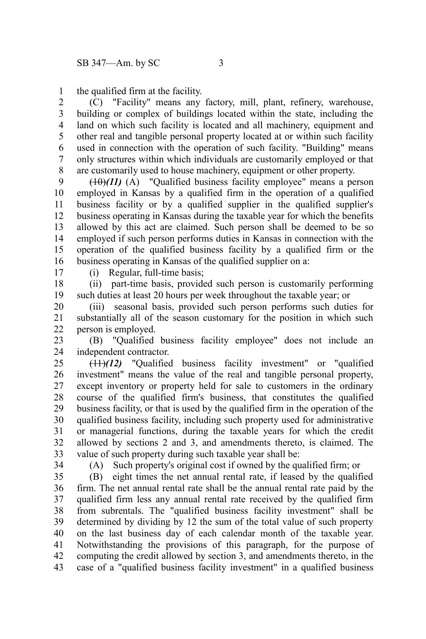the qualified firm at the facility. 1

(C) "Facility" means any factory, mill, plant, refinery, warehouse, building or complex of buildings located within the state, including the land on which such facility is located and all machinery, equipment and other real and tangible personal property located at or within such facility used in connection with the operation of such facility. "Building" means only structures within which individuals are customarily employed or that are customarily used to house machinery, equipment or other property. 2 3 4 5 6 7 8

 $(10)(11)$  (A) "Qualified business facility employee" means a person employed in Kansas by a qualified firm in the operation of a qualified business facility or by a qualified supplier in the qualified supplier's business operating in Kansas during the taxable year for which the benefits allowed by this act are claimed. Such person shall be deemed to be so employed if such person performs duties in Kansas in connection with the operation of the qualified business facility by a qualified firm or the business operating in Kansas of the qualified supplier on a: 9 10 11 12 13 14 15 16

17

(i) Regular, full-time basis;

(ii) part-time basis, provided such person is customarily performing such duties at least 20 hours per week throughout the taxable year; or 18 19

(iii) seasonal basis, provided such person performs such duties for substantially all of the season customary for the position in which such person is employed. 20 21 22

(B) "Qualified business facility employee" does not include an independent contractor. 23 24

(11)*(12)* "Qualified business facility investment" or "qualified investment" means the value of the real and tangible personal property, except inventory or property held for sale to customers in the ordinary course of the qualified firm's business, that constitutes the qualified business facility, or that is used by the qualified firm in the operation of the qualified business facility, including such property used for administrative or managerial functions, during the taxable years for which the credit allowed by sections 2 and 3, and amendments thereto, is claimed. The value of such property during such taxable year shall be: 25 26 27 28 29 30 31 32 33

34

(A) Such property's original cost if owned by the qualified firm; or

(B) eight times the net annual rental rate, if leased by the qualified firm. The net annual rental rate shall be the annual rental rate paid by the qualified firm less any annual rental rate received by the qualified firm from subrentals. The "qualified business facility investment" shall be determined by dividing by 12 the sum of the total value of such property on the last business day of each calendar month of the taxable year. Notwithstanding the provisions of this paragraph, for the purpose of computing the credit allowed by section 3, and amendments thereto, in the case of a "qualified business facility investment" in a qualified business 35 36 37 38 39 40 41 42 43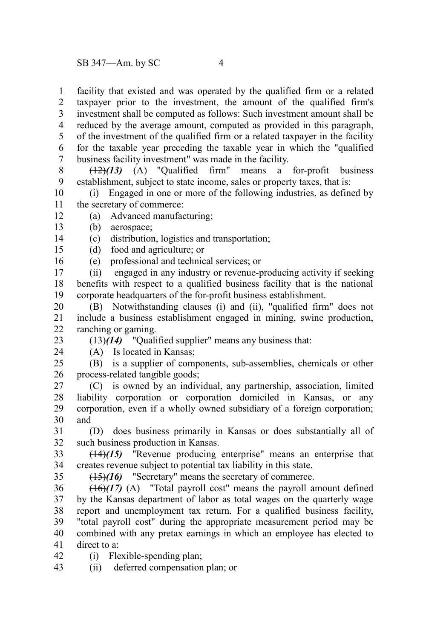facility that existed and was operated by the qualified firm or a related taxpayer prior to the investment, the amount of the qualified firm's investment shall be computed as follows: Such investment amount shall be reduced by the average amount, computed as provided in this paragraph, of the investment of the qualified firm or a related taxpayer in the facility for the taxable year preceding the taxable year in which the "qualified business facility investment" was made in the facility.<br> $\frac{12}{13}$  (A) "Qualified firm" means a 1 2 3 4 5 6 7

(12)*(13)* (A) "Qualified firm" means a for-profit business establishment, subject to state income, sales or property taxes, that is: 8 9

(i) Engaged in one or more of the following industries, as defined by the secretary of commerce: 10 11

- (a) Advanced manufacturing; 12
- (b) aerospace; 13

(c) distribution, logistics and transportation; 14

- (d) food and agriculture; or 15
- (e) professional and technical services; or 16

(ii) engaged in any industry or revenue-producing activity if seeking benefits with respect to a qualified business facility that is the national corporate headquarters of the for-profit business establishment. 17 18 19

(B) Notwithstanding clauses (i) and (ii), "qualified firm" does not include a business establishment engaged in mining, swine production, ranching or gaming. 20 21 22

(13)*(14)* "Qualified supplier" means any business that:

23 24

(A) Is located in Kansas;

(B) is a supplier of components, sub-assemblies, chemicals or other process-related tangible goods; 25 26

(C) is owned by an individual, any partnership, association, limited liability corporation or corporation domiciled in Kansas, or any corporation, even if a wholly owned subsidiary of a foreign corporation; and 27 28 29 30

(D) does business primarily in Kansas or does substantially all of such business production in Kansas. 31 32

(14)*(15)* "Revenue producing enterprise" means an enterprise that creates revenue subject to potential tax liability in this state. 33 34

35

(15)*(16)* "Secretary" means the secretary of commerce.

 $(16)(17)$  (A) "Total payroll cost" means the payroll amount defined by the Kansas department of labor as total wages on the quarterly wage report and unemployment tax return. For a qualified business facility, "total payroll cost" during the appropriate measurement period may be combined with any pretax earnings in which an employee has elected to direct to a: 36 37 38 39 40 41

(i) Flexible-spending plan; 42

(ii) deferred compensation plan; or 43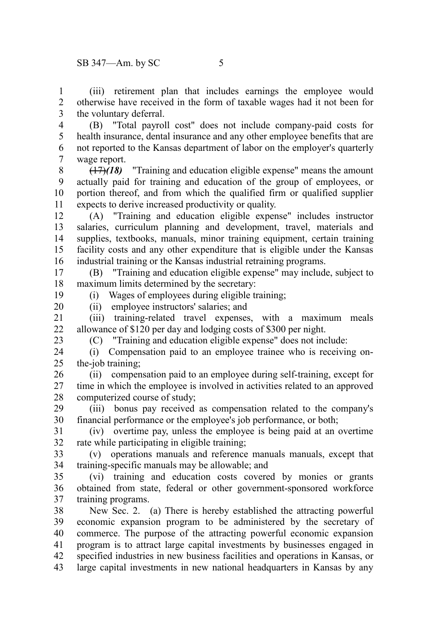(iii) retirement plan that includes earnings the employee would otherwise have received in the form of taxable wages had it not been for the voluntary deferral. 1 2 3

(B) "Total payroll cost" does not include company-paid costs for health insurance, dental insurance and any other employee benefits that are not reported to the Kansas department of labor on the employer's quarterly wage report. 4 5 6 7

(17)*(18)* "Training and education eligible expense" means the amount actually paid for training and education of the group of employees, or portion thereof, and from which the qualified firm or qualified supplier expects to derive increased productivity or quality. 8 9 10 11

(A) "Training and education eligible expense" includes instructor salaries, curriculum planning and development, travel, materials and supplies, textbooks, manuals, minor training equipment, certain training facility costs and any other expenditure that is eligible under the Kansas industrial training or the Kansas industrial retraining programs. 12 13 14 15 16

(B) "Training and education eligible expense" may include, subject to maximum limits determined by the secretary: (i) Wages of employees during eligible training; 17 18

19 20

(ii) employee instructors' salaries; and

(iii) training-related travel expenses, with a maximum meals allowance of \$120 per day and lodging costs of \$300 per night. 21 22 23

(C) "Training and education eligible expense" does not include:

(i) Compensation paid to an employee trainee who is receiving onthe-job training; 24 25

(ii) compensation paid to an employee during self-training, except for time in which the employee is involved in activities related to an approved computerized course of study; 26 27 28

(iii) bonus pay received as compensation related to the company's financial performance or the employee's job performance, or both; 29 30

(iv) overtime pay, unless the employee is being paid at an overtime rate while participating in eligible training; 31 32

(v) operations manuals and reference manuals manuals, except that training-specific manuals may be allowable; and 33 34

(vi) training and education costs covered by monies or grants obtained from state, federal or other government-sponsored workforce training programs. 35 36 37

New Sec. 2. (a) There is hereby established the attracting powerful economic expansion program to be administered by the secretary of commerce. The purpose of the attracting powerful economic expansion program is to attract large capital investments by businesses engaged in specified industries in new business facilities and operations in Kansas, or large capital investments in new national headquarters in Kansas by any 38 39 40 41 42 43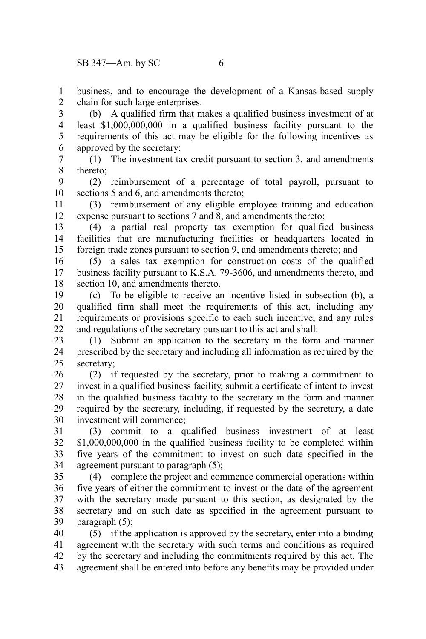business, and to encourage the development of a Kansas-based supply chain for such large enterprises. 1 2

(b) A qualified firm that makes a qualified business investment of at least \$1,000,000,000 in a qualified business facility pursuant to the requirements of this act may be eligible for the following incentives as approved by the secretary: 3 4 5 6

(1) The investment tax credit pursuant to section 3, and amendments thereto; 7 8

(2) reimbursement of a percentage of total payroll, pursuant to sections 5 and 6, and amendments thereto; 9 10

(3) reimbursement of any eligible employee training and education expense pursuant to sections 7 and 8, and amendments thereto; 11 12

(4) a partial real property tax exemption for qualified business facilities that are manufacturing facilities or headquarters located in foreign trade zones pursuant to section 9, and amendments thereto; and 13 14 15

(5) a sales tax exemption for construction costs of the qualified business facility pursuant to K.S.A. 79-3606, and amendments thereto, and section 10, and amendments thereto. 16 17 18

(c) To be eligible to receive an incentive listed in subsection (b), a qualified firm shall meet the requirements of this act, including any requirements or provisions specific to each such incentive, and any rules and regulations of the secretary pursuant to this act and shall: 19 20 21 22

(1) Submit an application to the secretary in the form and manner prescribed by the secretary and including all information as required by the secretary; 23 24 25

(2) if requested by the secretary, prior to making a commitment to invest in a qualified business facility, submit a certificate of intent to invest in the qualified business facility to the secretary in the form and manner required by the secretary, including, if requested by the secretary, a date investment will commence; 26 27 28 29 30

(3) commit to a qualified business investment of at least \$1,000,000,000 in the qualified business facility to be completed within five years of the commitment to invest on such date specified in the agreement pursuant to paragraph (5); 31 32 33 34

(4) complete the project and commence commercial operations within five years of either the commitment to invest or the date of the agreement with the secretary made pursuant to this section, as designated by the secretary and on such date as specified in the agreement pursuant to paragraph (5); 35 36 37 38 39

(5) if the application is approved by the secretary, enter into a binding agreement with the secretary with such terms and conditions as required by the secretary and including the commitments required by this act. The agreement shall be entered into before any benefits may be provided under 40 41 42 43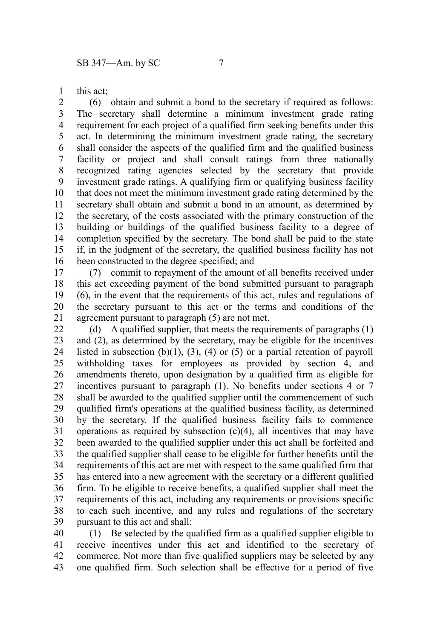this act; 1

(6) obtain and submit a bond to the secretary if required as follows: The secretary shall determine a minimum investment grade rating requirement for each project of a qualified firm seeking benefits under this act. In determining the minimum investment grade rating, the secretary shall consider the aspects of the qualified firm and the qualified business facility or project and shall consult ratings from three nationally recognized rating agencies selected by the secretary that provide investment grade ratings. A qualifying firm or qualifying business facility that does not meet the minimum investment grade rating determined by the secretary shall obtain and submit a bond in an amount, as determined by the secretary, of the costs associated with the primary construction of the building or buildings of the qualified business facility to a degree of completion specified by the secretary. The bond shall be paid to the state if, in the judgment of the secretary, the qualified business facility has not been constructed to the degree specified; and 2 3 4 5 6 7 8 9 10 11 12 13 14 15 16

(7) commit to repayment of the amount of all benefits received under this act exceeding payment of the bond submitted pursuant to paragraph (6), in the event that the requirements of this act, rules and regulations of the secretary pursuant to this act or the terms and conditions of the agreement pursuant to paragraph (5) are not met. 17 18 19 20 21

(d) A qualified supplier, that meets the requirements of paragraphs (1) and (2), as determined by the secretary, may be eligible for the incentives listed in subsection  $(b)(1)$ ,  $(3)$ ,  $(4)$  or  $(5)$  or a partial retention of payroll withholding taxes for employees as provided by section 4, and amendments thereto, upon designation by a qualified firm as eligible for incentives pursuant to paragraph (1). No benefits under sections 4 or 7 shall be awarded to the qualified supplier until the commencement of such qualified firm's operations at the qualified business facility, as determined by the secretary. If the qualified business facility fails to commence operations as required by subsection  $(c)(4)$ , all incentives that may have been awarded to the qualified supplier under this act shall be forfeited and the qualified supplier shall cease to be eligible for further benefits until the requirements of this act are met with respect to the same qualified firm that has entered into a new agreement with the secretary or a different qualified firm. To be eligible to receive benefits, a qualified supplier shall meet the requirements of this act, including any requirements or provisions specific to each such incentive, and any rules and regulations of the secretary pursuant to this act and shall: 22 23 24 25 26 27 28 29 30 31 32 33 34 35 36 37 38 39

(1) Be selected by the qualified firm as a qualified supplier eligible to receive incentives under this act and identified to the secretary of commerce. Not more than five qualified suppliers may be selected by any one qualified firm. Such selection shall be effective for a period of five 40 41 42 43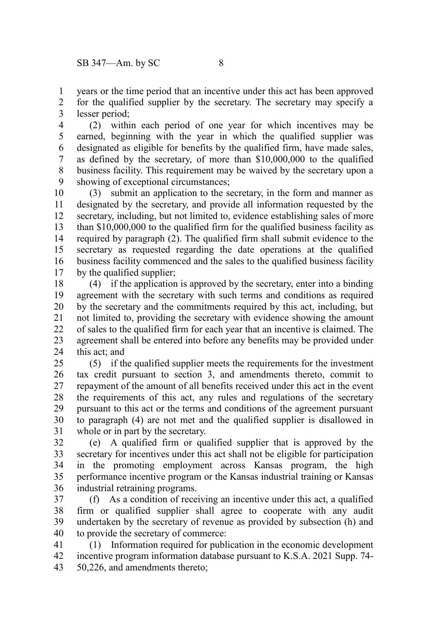years or the time period that an incentive under this act has been approved for the qualified supplier by the secretary. The secretary may specify a lesser period; 1 2 3

(2) within each period of one year for which incentives may be earned, beginning with the year in which the qualified supplier was designated as eligible for benefits by the qualified firm, have made sales, as defined by the secretary, of more than \$10,000,000 to the qualified business facility. This requirement may be waived by the secretary upon a showing of exceptional circumstances; 4 5 6 7 8 9

(3) submit an application to the secretary, in the form and manner as designated by the secretary, and provide all information requested by the secretary, including, but not limited to, evidence establishing sales of more than \$10,000,000 to the qualified firm for the qualified business facility as required by paragraph (2). The qualified firm shall submit evidence to the secretary as requested regarding the date operations at the qualified business facility commenced and the sales to the qualified business facility by the qualified supplier; 10 11 12 13 14 15 16 17

(4) if the application is approved by the secretary, enter into a binding agreement with the secretary with such terms and conditions as required by the secretary and the commitments required by this act, including, but not limited to, providing the secretary with evidence showing the amount of sales to the qualified firm for each year that an incentive is claimed. The agreement shall be entered into before any benefits may be provided under this act; and 18 19 20 21 22 23 24

(5) if the qualified supplier meets the requirements for the investment tax credit pursuant to section 3, and amendments thereto, commit to repayment of the amount of all benefits received under this act in the event the requirements of this act, any rules and regulations of the secretary pursuant to this act or the terms and conditions of the agreement pursuant to paragraph (4) are not met and the qualified supplier is disallowed in whole or in part by the secretary. 25 26 27 28 29 30 31

(e) A qualified firm or qualified supplier that is approved by the secretary for incentives under this act shall not be eligible for participation in the promoting employment across Kansas program, the high performance incentive program or the Kansas industrial training or Kansas industrial retraining programs. 32 33 34 35 36

(f) As a condition of receiving an incentive under this act, a qualified firm or qualified supplier shall agree to cooperate with any audit undertaken by the secretary of revenue as provided by subsection (h) and to provide the secretary of commerce: 37 38 39 40

(1) Information required for publication in the economic development incentive program information database pursuant to K.S.A. 2021 Supp. 74- 50,226, and amendments thereto; 41 42 43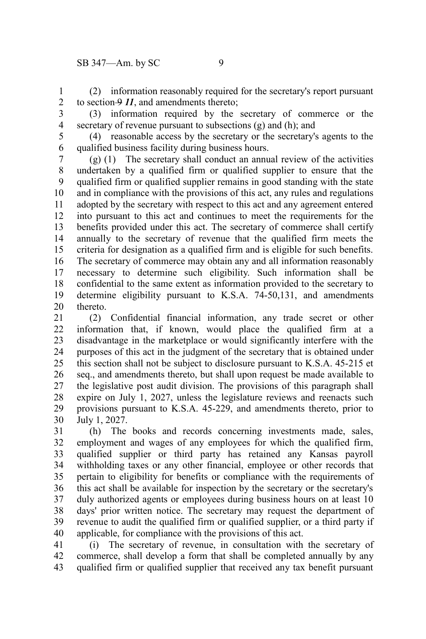(2) information reasonably required for the secretary's report pursuant to section  $\Theta$  *11*, and amendments thereto; 1 2

3

(3) information required by the secretary of commerce or the secretary of revenue pursuant to subsections (g) and (h); and 4

5 6

(4) reasonable access by the secretary or the secretary's agents to the qualified business facility during business hours.

(g) (1) The secretary shall conduct an annual review of the activities undertaken by a qualified firm or qualified supplier to ensure that the qualified firm or qualified supplier remains in good standing with the state and in compliance with the provisions of this act, any rules and regulations adopted by the secretary with respect to this act and any agreement entered into pursuant to this act and continues to meet the requirements for the benefits provided under this act. The secretary of commerce shall certify annually to the secretary of revenue that the qualified firm meets the criteria for designation as a qualified firm and is eligible for such benefits. The secretary of commerce may obtain any and all information reasonably necessary to determine such eligibility. Such information shall be confidential to the same extent as information provided to the secretary to determine eligibility pursuant to K.S.A. 74-50,131, and amendments thereto. 7 8 9 10 11 12 13 14 15 16 17 18 19 20

(2) Confidential financial information, any trade secret or other information that, if known, would place the qualified firm at a disadvantage in the marketplace or would significantly interfere with the purposes of this act in the judgment of the secretary that is obtained under this section shall not be subject to disclosure pursuant to K.S.A. 45-215 et seq., and amendments thereto, but shall upon request be made available to the legislative post audit division. The provisions of this paragraph shall expire on July 1, 2027, unless the legislature reviews and reenacts such provisions pursuant to K.S.A. 45-229, and amendments thereto, prior to July 1, 2027. 21 22 23 24 25 26 27 28 29 30

(h) The books and records concerning investments made, sales, employment and wages of any employees for which the qualified firm, qualified supplier or third party has retained any Kansas payroll withholding taxes or any other financial, employee or other records that pertain to eligibility for benefits or compliance with the requirements of this act shall be available for inspection by the secretary or the secretary's duly authorized agents or employees during business hours on at least 10 days' prior written notice. The secretary may request the department of revenue to audit the qualified firm or qualified supplier, or a third party if applicable, for compliance with the provisions of this act. 31 32 33 34 35 36 37 38 39 40

(i) The secretary of revenue, in consultation with the secretary of commerce, shall develop a form that shall be completed annually by any qualified firm or qualified supplier that received any tax benefit pursuant 41 42 43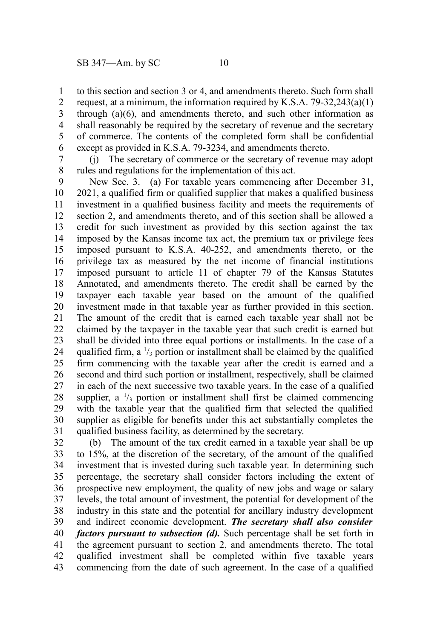to this section and section 3 or 4, and amendments thereto. Such form shall request, at a minimum, the information required by K.S.A.  $79-32,243(a)(1)$ through (a)(6), and amendments thereto, and such other information as shall reasonably be required by the secretary of revenue and the secretary of commerce. The contents of the completed form shall be confidential except as provided in K.S.A. 79-3234, and amendments thereto. 1 2 3 4 5 6

(j) The secretary of commerce or the secretary of revenue may adopt rules and regulations for the implementation of this act. 7 8

New Sec. 3. (a) For taxable years commencing after December 31, 2021, a qualified firm or qualified supplier that makes a qualified business investment in a qualified business facility and meets the requirements of section 2, and amendments thereto, and of this section shall be allowed a credit for such investment as provided by this section against the tax imposed by the Kansas income tax act, the premium tax or privilege fees imposed pursuant to K.S.A. 40-252, and amendments thereto, or the privilege tax as measured by the net income of financial institutions imposed pursuant to article 11 of chapter 79 of the Kansas Statutes Annotated, and amendments thereto. The credit shall be earned by the taxpayer each taxable year based on the amount of the qualified investment made in that taxable year as further provided in this section. The amount of the credit that is earned each taxable year shall not be claimed by the taxpayer in the taxable year that such credit is earned but shall be divided into three equal portions or installments. In the case of a qualified firm, a  $\frac{1}{3}$  portion or installment shall be claimed by the qualified firm commencing with the taxable year after the credit is earned and a second and third such portion or installment, respectively, shall be claimed in each of the next successive two taxable years. In the case of a qualified supplier, a  $\frac{1}{3}$  portion or installment shall first be claimed commencing with the taxable year that the qualified firm that selected the qualified supplier as eligible for benefits under this act substantially completes the qualified business facility, as determined by the secretary. 9 10 11 12 13 14 15 16 17 18 19 20 21 22 23 24 25 26 27 28 29 30 31

(b) The amount of the tax credit earned in a taxable year shall be up to 15%, at the discretion of the secretary, of the amount of the qualified investment that is invested during such taxable year. In determining such percentage, the secretary shall consider factors including the extent of prospective new employment, the quality of new jobs and wage or salary levels, the total amount of investment, the potential for development of the industry in this state and the potential for ancillary industry development and indirect economic development. *The secretary shall also consider factors pursuant to subsection (d).* Such percentage shall be set forth in the agreement pursuant to section 2, and amendments thereto. The total qualified investment shall be completed within five taxable years commencing from the date of such agreement. In the case of a qualified 32 33 34 35 36 37 38 39 40 41 42 43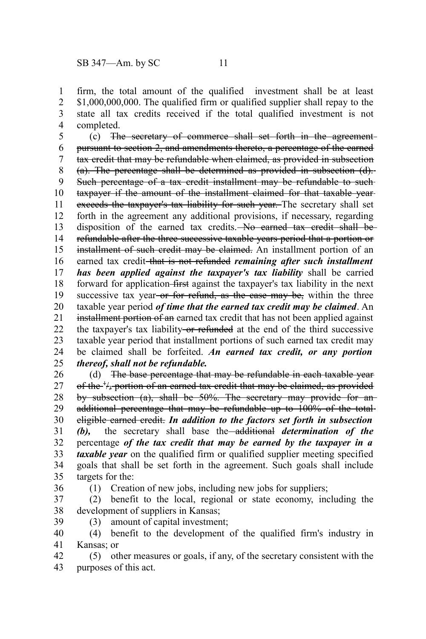firm, the total amount of the qualified investment shall be at least \$1,000,000,000. The qualified firm or qualified supplier shall repay to the state all tax credits received if the total qualified investment is not completed. 1 2 3 4

(c) The secretary of commerce shall set forth in the agreement pursuant to section 2, and amendments thereto, a percentage of the earned tax credit that may be refundable when claimed, as provided in subsection (a). The percentage shall be determined as provided in subsection (d). Such percentage of a tax credit installment may be refundable to suchtaxpayer if the amount of the installment claimed for that taxable year exceeds the taxpayer's tax liability for such year. The secretary shall set forth in the agreement any additional provisions, if necessary, regarding disposition of the earned tax credits. No earned tax credit shall be refundable after the three successive taxable years period that a portion or installment of such credit may be claimed. An installment portion of an earned tax credit that is not refunded *remaining after such installment has been applied against the taxpayer's tax liability* shall be carried forward for application-first against the taxpayer's tax liability in the next successive tax year<del> or for refund, as the case may be,</del> within the three taxable year period *of time that the earned tax credit may be claimed*. An installment portion of an earned tax credit that has not been applied against the taxpayer's tax liability or refunded at the end of the third successive taxable year period that installment portions of such earned tax credit may be claimed shall be forfeited. *An earned tax credit, or any portion thereof, shall not be refundable.* 5 6 7 8 9 10 11 12 13 14 15 16 17 18 19 20 21 22 23 24 25

(d) The base percentage that may be refundable in each taxable year of the <sup>+</sup>/<sub>3</sub> portion of an earned tax credit that may be claimed, as provided by subsection (a), shall be 50%. The secretary may provide for an additional percentage that may be refundable up to 100% of the totaleligible earned credit. *In addition to the factors set forth in subsection (b),* the secretary shall base the additional *determination of the* percentage *of the tax credit that may be earned by the taxpayer in a taxable year* on the qualified firm or qualified supplier meeting specified goals that shall be set forth in the agreement. Such goals shall include targets for the: 26 27 28 29 30 31 32 33 34 35

36

39

(1) Creation of new jobs, including new jobs for suppliers;

(2) benefit to the local, regional or state economy, including the development of suppliers in Kansas; 37 38

(3) amount of capital investment;

(4) benefit to the development of the qualified firm's industry in Kansas; or 40 41

(5) other measures or goals, if any, of the secretary consistent with the purposes of this act. 42 43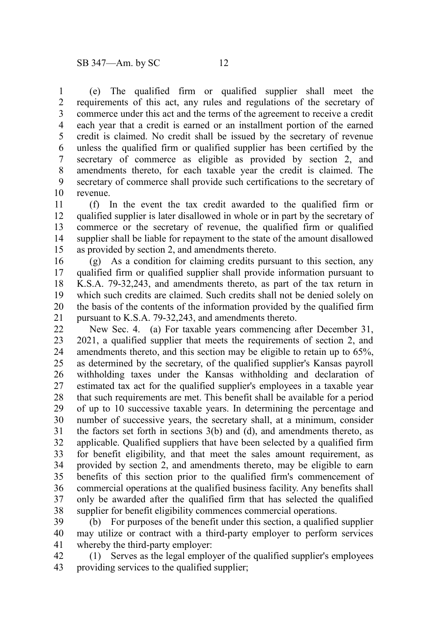(e) The qualified firm or qualified supplier shall meet the requirements of this act, any rules and regulations of the secretary of commerce under this act and the terms of the agreement to receive a credit each year that a credit is earned or an installment portion of the earned credit is claimed. No credit shall be issued by the secretary of revenue unless the qualified firm or qualified supplier has been certified by the secretary of commerce as eligible as provided by section 2, and amendments thereto, for each taxable year the credit is claimed. The secretary of commerce shall provide such certifications to the secretary of revenue. 1 2 3 4 5 6 7 8 9 10

(f) In the event the tax credit awarded to the qualified firm or qualified supplier is later disallowed in whole or in part by the secretary of commerce or the secretary of revenue, the qualified firm or qualified supplier shall be liable for repayment to the state of the amount disallowed as provided by section 2, and amendments thereto. 11 12 13 14 15

(g) As a condition for claiming credits pursuant to this section, any qualified firm or qualified supplier shall provide information pursuant to K.S.A. 79-32,243, and amendments thereto, as part of the tax return in which such credits are claimed. Such credits shall not be denied solely on the basis of the contents of the information provided by the qualified firm pursuant to K.S.A. 79-32,243, and amendments thereto. 16 17 18 19 20 21

New Sec. 4. (a) For taxable years commencing after December 31, 2021, a qualified supplier that meets the requirements of section 2, and amendments thereto, and this section may be eligible to retain up to 65%, as determined by the secretary, of the qualified supplier's Kansas payroll withholding taxes under the Kansas withholding and declaration of estimated tax act for the qualified supplier's employees in a taxable year that such requirements are met. This benefit shall be available for a period of up to 10 successive taxable years. In determining the percentage and number of successive years, the secretary shall, at a minimum, consider the factors set forth in sections 3(b) and (d), and amendments thereto, as applicable. Qualified suppliers that have been selected by a qualified firm for benefit eligibility, and that meet the sales amount requirement, as provided by section 2, and amendments thereto, may be eligible to earn benefits of this section prior to the qualified firm's commencement of commercial operations at the qualified business facility. Any benefits shall only be awarded after the qualified firm that has selected the qualified supplier for benefit eligibility commences commercial operations. 22 23 24 25 26 27 28 29 30 31 32 33 34 35 36 37 38

(b) For purposes of the benefit under this section, a qualified supplier may utilize or contract with a third-party employer to perform services whereby the third-party employer: 39 40 41

(1) Serves as the legal employer of the qualified supplier's employees providing services to the qualified supplier; 42 43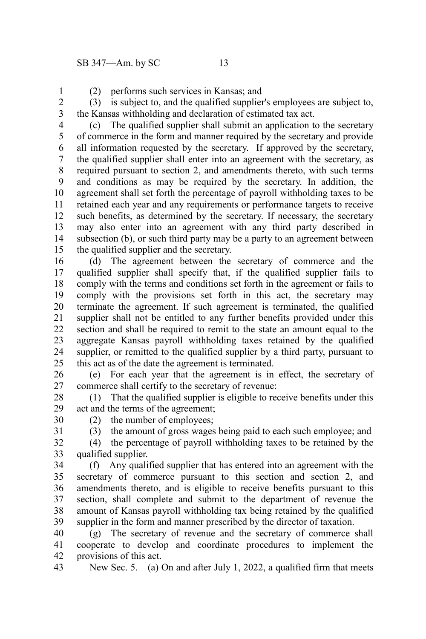1

(2) performs such services in Kansas; and

(3) is subject to, and the qualified supplier's employees are subject to, the Kansas withholding and declaration of estimated tax act. 2 3

(c) The qualified supplier shall submit an application to the secretary of commerce in the form and manner required by the secretary and provide all information requested by the secretary. If approved by the secretary, the qualified supplier shall enter into an agreement with the secretary, as required pursuant to section 2, and amendments thereto, with such terms and conditions as may be required by the secretary. In addition, the agreement shall set forth the percentage of payroll withholding taxes to be retained each year and any requirements or performance targets to receive such benefits, as determined by the secretary. If necessary, the secretary may also enter into an agreement with any third party described in subsection (b), or such third party may be a party to an agreement between the qualified supplier and the secretary. 4 5 6 7 8 9 10 11 12 13 14 15

(d) The agreement between the secretary of commerce and the qualified supplier shall specify that, if the qualified supplier fails to comply with the terms and conditions set forth in the agreement or fails to comply with the provisions set forth in this act, the secretary may terminate the agreement. If such agreement is terminated, the qualified supplier shall not be entitled to any further benefits provided under this section and shall be required to remit to the state an amount equal to the aggregate Kansas payroll withholding taxes retained by the qualified supplier, or remitted to the qualified supplier by a third party, pursuant to this act as of the date the agreement is terminated. 16 17 18 19 20 21 22 23 24 25

(e) For each year that the agreement is in effect, the secretary of commerce shall certify to the secretary of revenue: 26 27

(1) That the qualified supplier is eligible to receive benefits under this act and the terms of the agreement; 28 29

(2) the number of employees;

30 31

(3) the amount of gross wages being paid to each such employee; and

(4) the percentage of payroll withholding taxes to be retained by the qualified supplier. 32 33

(f) Any qualified supplier that has entered into an agreement with the secretary of commerce pursuant to this section and section 2, and amendments thereto, and is eligible to receive benefits pursuant to this section, shall complete and submit to the department of revenue the amount of Kansas payroll withholding tax being retained by the qualified supplier in the form and manner prescribed by the director of taxation. 34 35 36 37 38 39

(g) The secretary of revenue and the secretary of commerce shall cooperate to develop and coordinate procedures to implement the provisions of this act. 40 41 42

New Sec. 5. (a) On and after July 1, 2022, a qualified firm that meets 43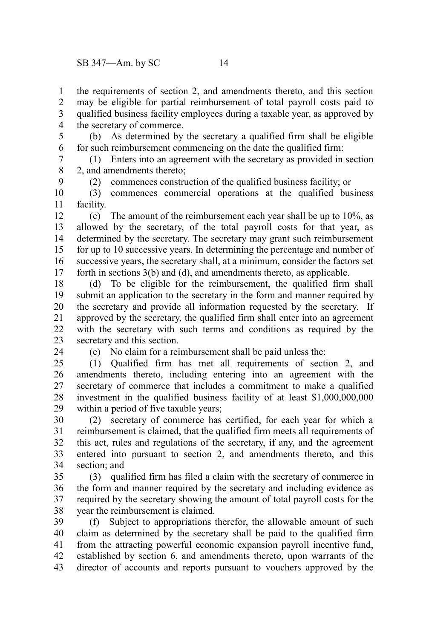the requirements of section 2, and amendments thereto, and this section may be eligible for partial reimbursement of total payroll costs paid to qualified business facility employees during a taxable year, as approved by the secretary of commerce. 1 2 3 4

(b) As determined by the secretary a qualified firm shall be eligible for such reimbursement commencing on the date the qualified firm: 5 6

(1) Enters into an agreement with the secretary as provided in section 2, and amendments thereto; 7 8

(2) commences construction of the qualified business facility; or

(3) commences commercial operations at the qualified business facility. 10 11

(c) The amount of the reimbursement each year shall be up to 10%, as allowed by the secretary, of the total payroll costs for that year, as determined by the secretary. The secretary may grant such reimbursement for up to 10 successive years. In determining the percentage and number of successive years, the secretary shall, at a minimum, consider the factors set forth in sections 3(b) and (d), and amendments thereto, as applicable. 12 13 14 15 16 17

(d) To be eligible for the reimbursement, the qualified firm shall submit an application to the secretary in the form and manner required by the secretary and provide all information requested by the secretary. If approved by the secretary, the qualified firm shall enter into an agreement with the secretary with such terms and conditions as required by the secretary and this section. 18 19 20 21 22 23

24

9

(e) No claim for a reimbursement shall be paid unless the:

(1) Qualified firm has met all requirements of section 2, and amendments thereto, including entering into an agreement with the secretary of commerce that includes a commitment to make a qualified investment in the qualified business facility of at least \$1,000,000,000 within a period of five taxable years; 25 26 27 28 29

(2) secretary of commerce has certified, for each year for which a reimbursement is claimed, that the qualified firm meets all requirements of this act, rules and regulations of the secretary, if any, and the agreement entered into pursuant to section 2, and amendments thereto, and this section; and 30 31 32 33 34

(3) qualified firm has filed a claim with the secretary of commerce in the form and manner required by the secretary and including evidence as required by the secretary showing the amount of total payroll costs for the year the reimbursement is claimed. 35 36 37 38

(f) Subject to appropriations therefor, the allowable amount of such claim as determined by the secretary shall be paid to the qualified firm from the attracting powerful economic expansion payroll incentive fund, established by section 6, and amendments thereto, upon warrants of the director of accounts and reports pursuant to vouchers approved by the 39 40 41 42 43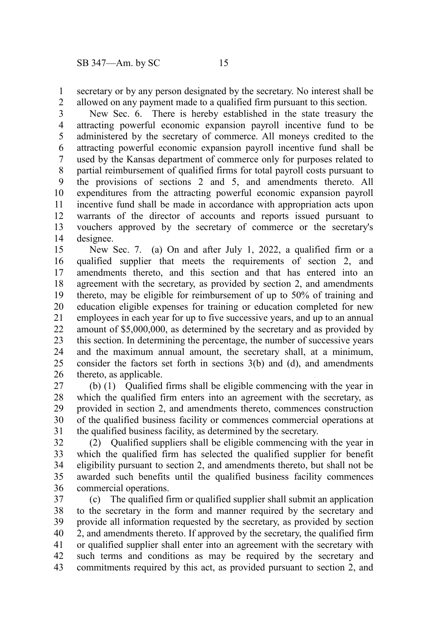secretary or by any person designated by the secretary. No interest shall be allowed on any payment made to a qualified firm pursuant to this section. 1 2

New Sec. 6. There is hereby established in the state treasury the attracting powerful economic expansion payroll incentive fund to be administered by the secretary of commerce. All moneys credited to the attracting powerful economic expansion payroll incentive fund shall be used by the Kansas department of commerce only for purposes related to partial reimbursement of qualified firms for total payroll costs pursuant to the provisions of sections 2 and 5, and amendments thereto. All expenditures from the attracting powerful economic expansion payroll incentive fund shall be made in accordance with appropriation acts upon warrants of the director of accounts and reports issued pursuant to vouchers approved by the secretary of commerce or the secretary's designee. 3 4 5 6 7 8 9 10 11 12 13 14

New Sec. 7. (a) On and after July 1, 2022, a qualified firm or a qualified supplier that meets the requirements of section 2, and amendments thereto, and this section and that has entered into an agreement with the secretary, as provided by section 2, and amendments thereto, may be eligible for reimbursement of up to 50% of training and education eligible expenses for training or education completed for new employees in each year for up to five successive years, and up to an annual amount of \$5,000,000, as determined by the secretary and as provided by this section. In determining the percentage, the number of successive years and the maximum annual amount, the secretary shall, at a minimum, consider the factors set forth in sections 3(b) and (d), and amendments thereto, as applicable. 15 16 17 18 19 20 21 22 23 24 25 26

(b) (1) Qualified firms shall be eligible commencing with the year in which the qualified firm enters into an agreement with the secretary, as provided in section 2, and amendments thereto, commences construction of the qualified business facility or commences commercial operations at the qualified business facility, as determined by the secretary. 27 28 29 30 31

(2) Qualified suppliers shall be eligible commencing with the year in which the qualified firm has selected the qualified supplier for benefit eligibility pursuant to section 2, and amendments thereto, but shall not be awarded such benefits until the qualified business facility commences commercial operations. 32 33 34 35 36

(c) The qualified firm or qualified supplier shall submit an application to the secretary in the form and manner required by the secretary and provide all information requested by the secretary, as provided by section 2, and amendments thereto. If approved by the secretary, the qualified firm or qualified supplier shall enter into an agreement with the secretary with such terms and conditions as may be required by the secretary and commitments required by this act, as provided pursuant to section 2, and 37 38 39 40 41 42 43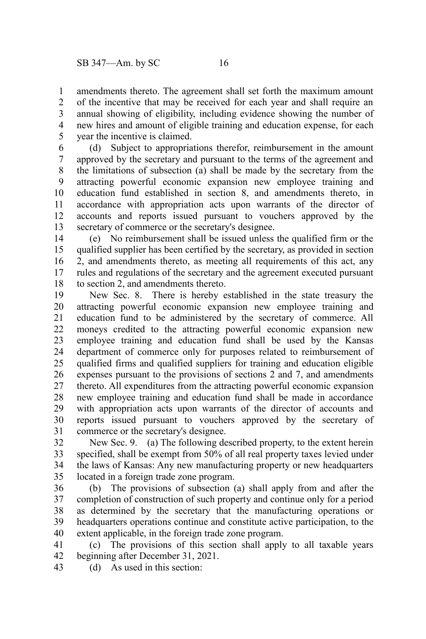amendments thereto. The agreement shall set forth the maximum amount of the incentive that may be received for each year and shall require an annual showing of eligibility, including evidence showing the number of new hires and amount of eligible training and education expense, for each year the incentive is claimed. 1 2 3 4 5

(d) Subject to appropriations therefor, reimbursement in the amount approved by the secretary and pursuant to the terms of the agreement and the limitations of subsection (a) shall be made by the secretary from the attracting powerful economic expansion new employee training and education fund established in section 8, and amendments thereto, in accordance with appropriation acts upon warrants of the director of accounts and reports issued pursuant to vouchers approved by the secretary of commerce or the secretary's designee. 6 7 8 9 10 11 12 13

(e) No reimbursement shall be issued unless the qualified firm or the qualified supplier has been certified by the secretary, as provided in section 2, and amendments thereto, as meeting all requirements of this act, any rules and regulations of the secretary and the agreement executed pursuant to section 2, and amendments thereto. 14 15 16 17 18

New Sec. 8. There is hereby established in the state treasury the attracting powerful economic expansion new employee training and education fund to be administered by the secretary of commerce. All moneys credited to the attracting powerful economic expansion new employee training and education fund shall be used by the Kansas department of commerce only for purposes related to reimbursement of qualified firms and qualified suppliers for training and education eligible expenses pursuant to the provisions of sections 2 and 7, and amendments thereto. All expenditures from the attracting powerful economic expansion new employee training and education fund shall be made in accordance with appropriation acts upon warrants of the director of accounts and reports issued pursuant to vouchers approved by the secretary of commerce or the secretary's designee. 19 20 21 22 23 24 25 26 27 28 29 30 31

New Sec. 9. (a) The following described property, to the extent herein specified, shall be exempt from 50% of all real property taxes levied under the laws of Kansas: Any new manufacturing property or new headquarters located in a foreign trade zone program. 32 33 34 35

(b) The provisions of subsection (a) shall apply from and after the completion of construction of such property and continue only for a period as determined by the secretary that the manufacturing operations or headquarters operations continue and constitute active participation, to the extent applicable, in the foreign trade zone program. 36 37 38 39 40

(c) The provisions of this section shall apply to all taxable years beginning after December 31, 2021. 41 42

(d) As used in this section: 43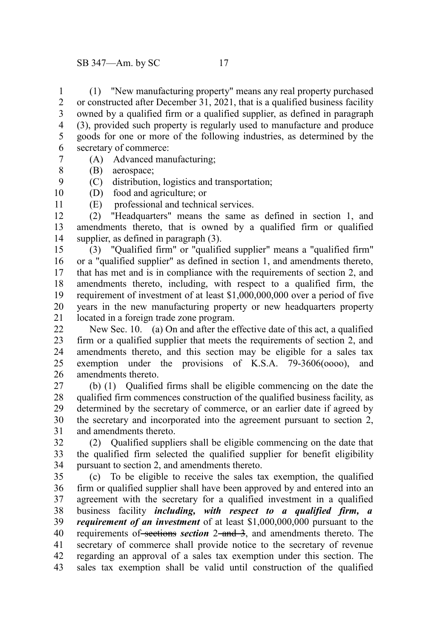(1) "New manufacturing property" means any real property purchased or constructed after December 31, 2021, that is a qualified business facility owned by a qualified firm or a qualified supplier, as defined in paragraph (3), provided such property is regularly used to manufacture and produce goods for one or more of the following industries, as determined by the secretary of commerce: 1 2 3 4 5 6 7

- (A) Advanced manufacturing;
- (B) aerospace; 8

9

11

- (C) distribution, logistics and transportation;
- (D) food and agriculture; or 10
	- (E) professional and technical services.

(2) "Headquarters" means the same as defined in section 1, and amendments thereto, that is owned by a qualified firm or qualified supplier, as defined in paragraph  $(3)$ . 12 13 14

(3) "Qualified firm" or "qualified supplier" means a "qualified firm" or a "qualified supplier" as defined in section 1, and amendments thereto, that has met and is in compliance with the requirements of section 2, and amendments thereto, including, with respect to a qualified firm, the requirement of investment of at least \$1,000,000,000 over a period of five years in the new manufacturing property or new headquarters property located in a foreign trade zone program. 15 16 17 18 19 20 21

New Sec. 10. (a) On and after the effective date of this act, a qualified firm or a qualified supplier that meets the requirements of section 2, and amendments thereto, and this section may be eligible for a sales tax exemption under the provisions of K.S.A. 79-3606(oooo), and amendments thereto. 22 23 24 25 26

(b) (1) Qualified firms shall be eligible commencing on the date the qualified firm commences construction of the qualified business facility, as determined by the secretary of commerce, or an earlier date if agreed by the secretary and incorporated into the agreement pursuant to section 2, and amendments thereto. 27 28 29 30 31

(2) Qualified suppliers shall be eligible commencing on the date that the qualified firm selected the qualified supplier for benefit eligibility pursuant to section 2, and amendments thereto. 32 33 34

(c) To be eligible to receive the sales tax exemption, the qualified firm or qualified supplier shall have been approved by and entered into an agreement with the secretary for a qualified investment in a qualified business facility *including, with respect to a qualified firm, a requirement of an investment* of at least \$1,000,000,000 pursuant to the requirements of sections *section* 2-and 3, and amendments thereto. The secretary of commerce shall provide notice to the secretary of revenue regarding an approval of a sales tax exemption under this section. The sales tax exemption shall be valid until construction of the qualified 35 36 37 38 39 40 41 42 43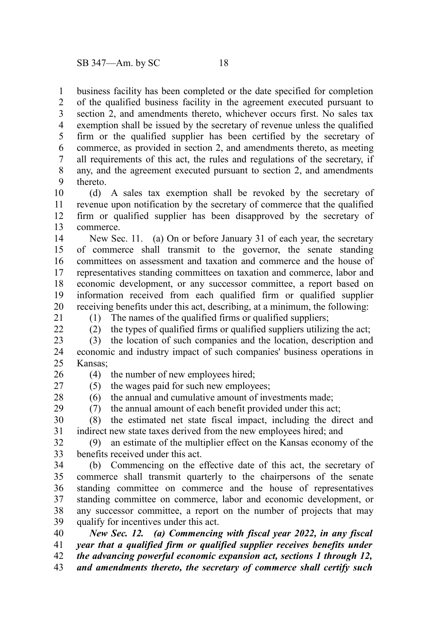business facility has been completed or the date specified for completion of the qualified business facility in the agreement executed pursuant to section 2, and amendments thereto, whichever occurs first. No sales tax exemption shall be issued by the secretary of revenue unless the qualified firm or the qualified supplier has been certified by the secretary of commerce, as provided in section 2, and amendments thereto, as meeting all requirements of this act, the rules and regulations of the secretary, if any, and the agreement executed pursuant to section 2, and amendments thereto. 1 2 3 4 5 6 7 8 9

(d) A sales tax exemption shall be revoked by the secretary of revenue upon notification by the secretary of commerce that the qualified firm or qualified supplier has been disapproved by the secretary of commerce. 10 11 12 13

New Sec. 11. (a) On or before January 31 of each year, the secretary of commerce shall transmit to the governor, the senate standing committees on assessment and taxation and commerce and the house of representatives standing committees on taxation and commerce, labor and economic development, or any successor committee, a report based on information received from each qualified firm or qualified supplier receiving benefits under this act, describing, at a minimum, the following: (1) The names of the qualified firms or qualified suppliers; 14 15 16 17 18 19 20

21  $22$ 

(2) the types of qualified firms or qualified suppliers utilizing the act;

(3) the location of such companies and the location, description and economic and industry impact of such companies' business operations in Kansas; 23 24 25

(4) the number of new employees hired; 26

(5) the wages paid for such new employees; (6) the annual and cumulative amount of investments made;

27 28 29

(7) the annual amount of each benefit provided under this act;

(8) the estimated net state fiscal impact, including the direct and indirect new state taxes derived from the new employees hired; and 30 31

(9) an estimate of the multiplier effect on the Kansas economy of the benefits received under this act. 32 33

(b) Commencing on the effective date of this act, the secretary of commerce shall transmit quarterly to the chairpersons of the senate standing committee on commerce and the house of representatives standing committee on commerce, labor and economic development, or any successor committee, a report on the number of projects that may qualify for incentives under this act. 34 35 36 37 38 39

*New Sec. 12. (a) Commencing with fiscal year 2022, in any fiscal year that a qualified firm or qualified supplier receives benefits under the advancing powerful economic expansion act, sections 1 through 12,* 40 41 42

*and amendments thereto, the secretary of commerce shall certify such* 43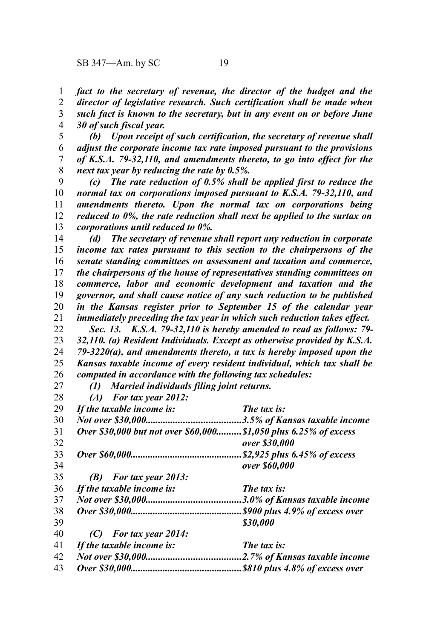*fact to the secretary of revenue, the director of the budget and the director of legislative research. Such certification shall be made when such fact is known to the secretary, but in any event on or before June 30 of such fiscal year.* 1 2 3 4

*(b) Upon receipt of such certification, the secretary of revenue shall adjust the corporate income tax rate imposed pursuant to the provisions of K.S.A. 79-32,110, and amendments thereto, to go into effect for the next tax year by reducing the rate by 0.5%.* 5 6 7 8

*(c) The rate reduction of 0.5% shall be applied first to reduce the normal tax on corporations imposed pursuant to K.S.A. 79-32,110, and amendments thereto. Upon the normal tax on corporations being reduced to 0%, the rate reduction shall next be applied to the surtax on corporations until reduced to 0%.* 9 10 11 12 13

*(d) The secretary of revenue shall report any reduction in corporate income tax rates pursuant to this section to the chairpersons of the senate standing committees on assessment and taxation and commerce, the chairpersons of the house of representatives standing committees on commerce, labor and economic development and taxation and the governor, and shall cause notice of any such reduction to be published in the Kansas register prior to September 15 of the calendar year immediately preceding the tax year in which such reduction takes effect.* 14 15 16 17 18 19 20 21

*Sec. 13. K.S.A. 79-32,110 is hereby amended to read as follows: 79- 32,110. (a) Resident Individuals. Except as otherwise provided by K.S.A. 79-3220(a), and amendments thereto, a tax is hereby imposed upon the Kansas taxable income of every resident individual, which tax shall be computed in accordance with the following tax schedules:* 22 23 24 25 26

*(1) Married individuals filing joint returns.*

*(A) For tax year 2012:* 28

27

*If the taxable income is: The tax is: Not over \$30,000......................................3.5% of Kansas taxable income Over \$30,000 but not over \$60,000..........\$1,050 plus 6.25% of excess over \$30,000 Over \$60,000.............................................\$2,925 plus 6.45% of excess over \$60,000 (B) For tax year 2013: If the taxable income is: The tax is: Not over \$30,000......................................3.0% of Kansas taxable income Over \$30,000.............................................\$900 plus 4.9% of excess over \$30,000 (C) For tax year 2014: If the taxable income is: The tax is: Not over \$30,000......................................2.7% of Kansas taxable income Over \$30,000.............................................\$810 plus 4.8% of excess over* 29 30 31 32 33 34 35 36 37 38 39 40 41 42 43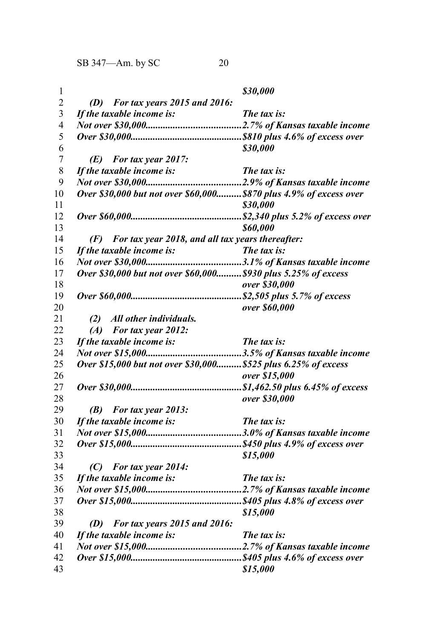SB 347—Am. by SC 20

| 1              |                                                                   | \$30,000      |
|----------------|-------------------------------------------------------------------|---------------|
| $\overline{c}$ | (D) For tax years $2015$ and $2016$ :                             |               |
| $\mathfrak{Z}$ | If the taxable income is:                                         | The tax is:   |
| $\overline{4}$ |                                                                   |               |
| 5              |                                                                   |               |
| 6              |                                                                   | \$30,000      |
| $\overline{7}$ | $(E)$ For tax year 2017:                                          |               |
| $\,$ 8 $\,$    | If the taxable income is:                                         | The tax is:   |
| 9              |                                                                   |               |
| 10             | Over \$30,000 but not over \$60,000\$870 plus 4.9% of excess over |               |
| 11             |                                                                   | \$30,000      |
| 12             |                                                                   |               |
| 13             |                                                                   | \$60,000      |
| 14             | (F) For tax year 2018, and all tax years thereafter:              |               |
| 15             |                                                                   |               |
| 16             |                                                                   |               |
| 17             | Over \$30,000 but not over \$60,000 \$930 plus 5.25% of excess    |               |
| 18             |                                                                   | over \$30,000 |
| 19             |                                                                   |               |
| 20             |                                                                   | over \$60,000 |
| 21             | (2) All other individuals.                                        |               |
| 22             | $(A)$ For tax year 2012:                                          |               |
| 23             | If the taxable income is:                                         | The tax is:   |
| 24             |                                                                   |               |
| 25             | Over \$15,000 but not over \$30,000 \$525 plus 6.25% of excess    |               |
| 26             |                                                                   | over \$15,000 |
| 27             |                                                                   |               |
| 28             |                                                                   | over \$30,000 |
| 29             | $(B)$ For tax year 2013:                                          |               |
| 30             | If the taxable income is:                                         | The tax is:   |
| 31             |                                                                   |               |
| 32             |                                                                   |               |
| 33             |                                                                   | \$15,000      |
| 34             | $(C)$ For tax year 2014:                                          |               |
| 35             | If the taxable income is:                                         | The tax is:   |
| 36             |                                                                   |               |
| 37             |                                                                   |               |
| 38             |                                                                   | \$15,000      |
| 39             | $(D)$ For tax years 2015 and 2016:                                |               |
| 40             | If the taxable income is:                                         | The tax is:   |
| 41             |                                                                   |               |
| 42             |                                                                   |               |
| 43             |                                                                   | \$15,000      |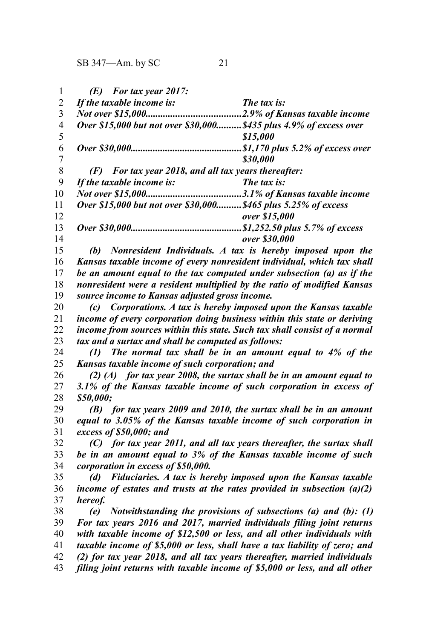|    | $(E)$ For tax year 2017:                                           |                                  |
|----|--------------------------------------------------------------------|----------------------------------|
| 2  | If the taxable income is:                                          | The tax is:                      |
| 3  |                                                                    | 2.9% of Kansas taxable income    |
| 4  | Over \$15,000 but not over \$30,000 \$435 plus 4.9% of excess over |                                  |
| 5  |                                                                    | \$15,000                         |
| 6  |                                                                    | \$1,170 plus 5.2% of excess over |
|    |                                                                    | \$30,000                         |
| 8  | For tax year 2018, and all tax years thereafter:<br>(F)            |                                  |
| 9  | If the taxable income is:                                          | The tax is:                      |
| 10 |                                                                    | 3.1% of Kansas taxable income    |
| 11 | Over \$15,000 but not over \$30,000 \$465 plus 5.25% of excess     |                                  |
| 12 |                                                                    | over \$15,000                    |
| 13 |                                                                    | \$1,252.50 plus 5.7% of excess   |
| 14 |                                                                    | over \$30,000                    |
|    |                                                                    |                                  |

*(b) Nonresident Individuals. A tax is hereby imposed upon the Kansas taxable income of every nonresident individual, which tax shall be an amount equal to the tax computed under subsection (a) as if the nonresident were a resident multiplied by the ratio of modified Kansas source income to Kansas adjusted gross income.* 15 16 17 18 19

*(c) Corporations. A tax is hereby imposed upon the Kansas taxable income of every corporation doing business within this state or deriving income from sources within this state. Such tax shall consist of a normal tax and a surtax and shall be computed as follows:* 20 21 22 23

*(1) The normal tax shall be in an amount equal to 4% of the Kansas taxable income of such corporation; and* 24 25

*(2) (A) for tax year 2008, the surtax shall be in an amount equal to 3.1% of the Kansas taxable income of such corporation in excess of \$50,000;* 26 27 28

*(B) for tax years 2009 and 2010, the surtax shall be in an amount equal to 3.05% of the Kansas taxable income of such corporation in excess of \$50,000; and* 29 30 31

*(C) for tax year 2011, and all tax years thereafter, the surtax shall be in an amount equal to 3% of the Kansas taxable income of such corporation in excess of \$50,000.* 32 33 34

*(d) Fiduciaries. A tax is hereby imposed upon the Kansas taxable income of estates and trusts at the rates provided in subsection (a)(2) hereof.* 35 36 37

*(e) Notwithstanding the provisions of subsections (a) and (b): (1) For tax years 2016 and 2017, married individuals filing joint returns with taxable income of \$12,500 or less, and all other individuals with taxable income of \$5,000 or less, shall have a tax liability of zero; and (2) for tax year 2018, and all tax years thereafter, married individuals filing joint returns with taxable income of \$5,000 or less, and all other* 38 39 40 41 42 43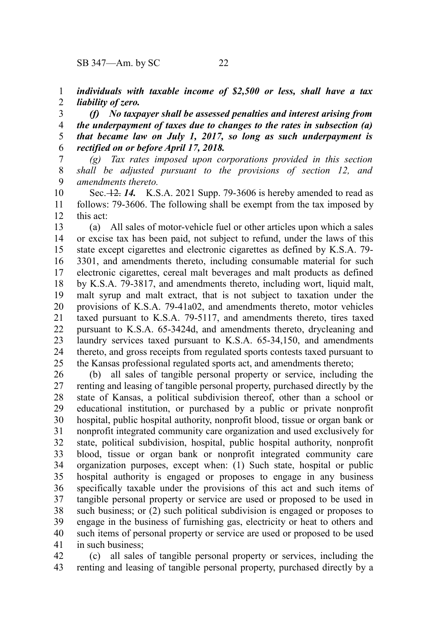*individuals with taxable income of \$2,500 or less, shall have a tax liability of zero.* 1 2

*(f) No taxpayer shall be assessed penalties and interest arising from the underpayment of taxes due to changes to the rates in subsection (a) that became law on July 1, 2017, so long as such underpayment is rectified on or before April 17, 2018.* 3 4 5 6

*(g) Tax rates imposed upon corporations provided in this section shall be adjusted pursuant to the provisions of section 12, and amendments thereto.* 7 8 9

Sec. 12. *14.* K.S.A. 2021 Supp. 79-3606 is hereby amended to read as follows: 79-3606. The following shall be exempt from the tax imposed by this act: 10 11 12

(a) All sales of motor-vehicle fuel or other articles upon which a sales or excise tax has been paid, not subject to refund, under the laws of this state except cigarettes and electronic cigarettes as defined by K.S.A. 79- 3301, and amendments thereto, including consumable material for such electronic cigarettes, cereal malt beverages and malt products as defined by K.S.A. 79-3817, and amendments thereto, including wort, liquid malt, malt syrup and malt extract, that is not subject to taxation under the provisions of K.S.A. 79-41a02, and amendments thereto, motor vehicles taxed pursuant to K.S.A. 79-5117, and amendments thereto, tires taxed pursuant to K.S.A. 65-3424d, and amendments thereto, drycleaning and laundry services taxed pursuant to K.S.A. 65-34,150, and amendments thereto, and gross receipts from regulated sports contests taxed pursuant to the Kansas professional regulated sports act, and amendments thereto; 13 14 15 16 17 18 19 20 21 22 23 24 25

(b) all sales of tangible personal property or service, including the renting and leasing of tangible personal property, purchased directly by the state of Kansas, a political subdivision thereof, other than a school or educational institution, or purchased by a public or private nonprofit hospital, public hospital authority, nonprofit blood, tissue or organ bank or nonprofit integrated community care organization and used exclusively for state, political subdivision, hospital, public hospital authority, nonprofit blood, tissue or organ bank or nonprofit integrated community care organization purposes, except when: (1) Such state, hospital or public hospital authority is engaged or proposes to engage in any business specifically taxable under the provisions of this act and such items of tangible personal property or service are used or proposed to be used in such business; or (2) such political subdivision is engaged or proposes to engage in the business of furnishing gas, electricity or heat to others and such items of personal property or service are used or proposed to be used in such business; 26 27 28 29 30 31 32 33 34 35 36 37 38 39 40 41

(c) all sales of tangible personal property or services, including the renting and leasing of tangible personal property, purchased directly by a 42 43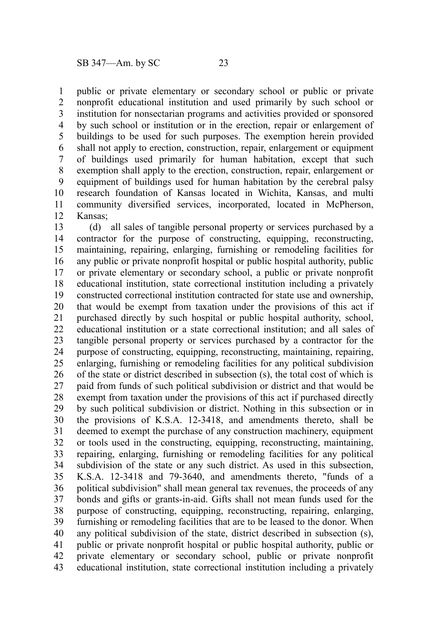public or private elementary or secondary school or public or private nonprofit educational institution and used primarily by such school or institution for nonsectarian programs and activities provided or sponsored by such school or institution or in the erection, repair or enlargement of buildings to be used for such purposes. The exemption herein provided shall not apply to erection, construction, repair, enlargement or equipment of buildings used primarily for human habitation, except that such exemption shall apply to the erection, construction, repair, enlargement or equipment of buildings used for human habitation by the cerebral palsy research foundation of Kansas located in Wichita, Kansas, and multi community diversified services, incorporated, located in McPherson, Kansas; 1 2 3 4 5 6 7 8 9 10 11 12

(d) all sales of tangible personal property or services purchased by a contractor for the purpose of constructing, equipping, reconstructing, maintaining, repairing, enlarging, furnishing or remodeling facilities for any public or private nonprofit hospital or public hospital authority, public or private elementary or secondary school, a public or private nonprofit educational institution, state correctional institution including a privately constructed correctional institution contracted for state use and ownership, that would be exempt from taxation under the provisions of this act if purchased directly by such hospital or public hospital authority, school, educational institution or a state correctional institution; and all sales of tangible personal property or services purchased by a contractor for the purpose of constructing, equipping, reconstructing, maintaining, repairing, enlarging, furnishing or remodeling facilities for any political subdivision of the state or district described in subsection (s), the total cost of which is paid from funds of such political subdivision or district and that would be exempt from taxation under the provisions of this act if purchased directly by such political subdivision or district. Nothing in this subsection or in the provisions of K.S.A. 12-3418, and amendments thereto, shall be deemed to exempt the purchase of any construction machinery, equipment or tools used in the constructing, equipping, reconstructing, maintaining, repairing, enlarging, furnishing or remodeling facilities for any political subdivision of the state or any such district. As used in this subsection, K.S.A. 12-3418 and 79-3640, and amendments thereto, "funds of a political subdivision" shall mean general tax revenues, the proceeds of any bonds and gifts or grants-in-aid. Gifts shall not mean funds used for the purpose of constructing, equipping, reconstructing, repairing, enlarging, furnishing or remodeling facilities that are to be leased to the donor. When any political subdivision of the state, district described in subsection (s), public or private nonprofit hospital or public hospital authority, public or private elementary or secondary school, public or private nonprofit educational institution, state correctional institution including a privately 13 14 15 16 17 18 19 20 21 22 23 24 25 26 27 28 29 30 31 32 33 34 35 36 37 38 39 40 41 42 43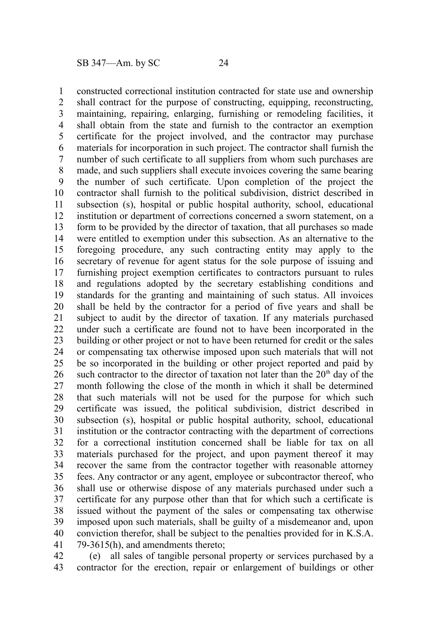constructed correctional institution contracted for state use and ownership shall contract for the purpose of constructing, equipping, reconstructing, maintaining, repairing, enlarging, furnishing or remodeling facilities, it shall obtain from the state and furnish to the contractor an exemption certificate for the project involved, and the contractor may purchase materials for incorporation in such project. The contractor shall furnish the number of such certificate to all suppliers from whom such purchases are made, and such suppliers shall execute invoices covering the same bearing the number of such certificate. Upon completion of the project the contractor shall furnish to the political subdivision, district described in subsection (s), hospital or public hospital authority, school, educational institution or department of corrections concerned a sworn statement, on a form to be provided by the director of taxation, that all purchases so made were entitled to exemption under this subsection. As an alternative to the foregoing procedure, any such contracting entity may apply to the secretary of revenue for agent status for the sole purpose of issuing and furnishing project exemption certificates to contractors pursuant to rules and regulations adopted by the secretary establishing conditions and standards for the granting and maintaining of such status. All invoices shall be held by the contractor for a period of five years and shall be subject to audit by the director of taxation. If any materials purchased under such a certificate are found not to have been incorporated in the building or other project or not to have been returned for credit or the sales or compensating tax otherwise imposed upon such materials that will not be so incorporated in the building or other project reported and paid by such contractor to the director of taxation not later than the  $20<sup>th</sup>$  day of the month following the close of the month in which it shall be determined that such materials will not be used for the purpose for which such certificate was issued, the political subdivision, district described in subsection (s), hospital or public hospital authority, school, educational institution or the contractor contracting with the department of corrections for a correctional institution concerned shall be liable for tax on all materials purchased for the project, and upon payment thereof it may recover the same from the contractor together with reasonable attorney fees. Any contractor or any agent, employee or subcontractor thereof, who shall use or otherwise dispose of any materials purchased under such a certificate for any purpose other than that for which such a certificate is issued without the payment of the sales or compensating tax otherwise imposed upon such materials, shall be guilty of a misdemeanor and, upon conviction therefor, shall be subject to the penalties provided for in K.S.A. 79-3615(h), and amendments thereto; 1 2 3 4 5 6 7 8 9 10 11 12 13 14 15 16 17 18 19 20 21 22 23 24 25 26 27 28 29 30 31 32 33 34 35 36 37 38 39 40 41

(e) all sales of tangible personal property or services purchased by a contractor for the erection, repair or enlargement of buildings or other 42 43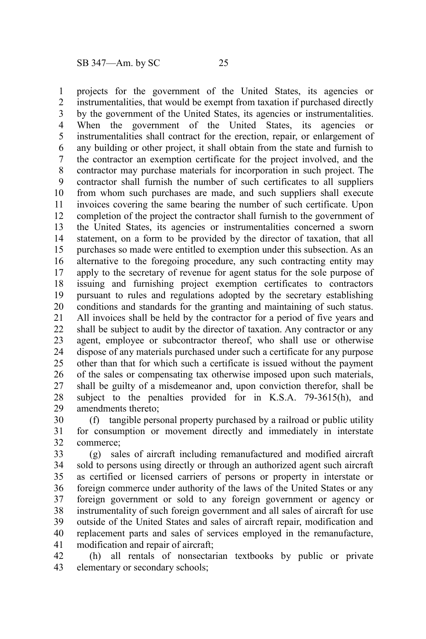projects for the government of the United States, its agencies or instrumentalities, that would be exempt from taxation if purchased directly by the government of the United States, its agencies or instrumentalities. When the government of the United States, its agencies or instrumentalities shall contract for the erection, repair, or enlargement of any building or other project, it shall obtain from the state and furnish to the contractor an exemption certificate for the project involved, and the contractor may purchase materials for incorporation in such project. The contractor shall furnish the number of such certificates to all suppliers from whom such purchases are made, and such suppliers shall execute invoices covering the same bearing the number of such certificate. Upon completion of the project the contractor shall furnish to the government of the United States, its agencies or instrumentalities concerned a sworn statement, on a form to be provided by the director of taxation, that all purchases so made were entitled to exemption under this subsection. As an alternative to the foregoing procedure, any such contracting entity may apply to the secretary of revenue for agent status for the sole purpose of issuing and furnishing project exemption certificates to contractors pursuant to rules and regulations adopted by the secretary establishing conditions and standards for the granting and maintaining of such status. All invoices shall be held by the contractor for a period of five years and shall be subject to audit by the director of taxation. Any contractor or any agent, employee or subcontractor thereof, who shall use or otherwise dispose of any materials purchased under such a certificate for any purpose other than that for which such a certificate is issued without the payment of the sales or compensating tax otherwise imposed upon such materials, shall be guilty of a misdemeanor and, upon conviction therefor, shall be subject to the penalties provided for in K.S.A. 79-3615(h), and amendments thereto; 1 2 3 4 5 6 7 8 9 10 11 12 13 14 15 16 17 18 19 20 21 22 23 24 25 26 27 28 29

(f) tangible personal property purchased by a railroad or public utility for consumption or movement directly and immediately in interstate commerce; 30 31 32

(g) sales of aircraft including remanufactured and modified aircraft sold to persons using directly or through an authorized agent such aircraft as certified or licensed carriers of persons or property in interstate or foreign commerce under authority of the laws of the United States or any foreign government or sold to any foreign government or agency or instrumentality of such foreign government and all sales of aircraft for use outside of the United States and sales of aircraft repair, modification and replacement parts and sales of services employed in the remanufacture, modification and repair of aircraft; 33 34 35 36 37 38 39 40 41

(h) all rentals of nonsectarian textbooks by public or private elementary or secondary schools; 42 43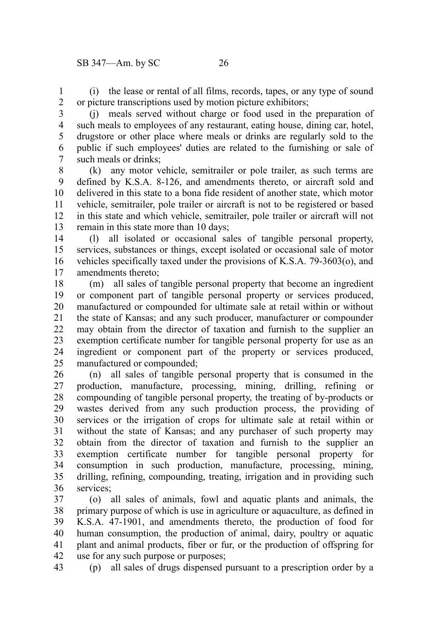(i) the lease or rental of all films, records, tapes, or any type of sound or picture transcriptions used by motion picture exhibitors; 1 2

(j) meals served without charge or food used in the preparation of such meals to employees of any restaurant, eating house, dining car, hotel, drugstore or other place where meals or drinks are regularly sold to the public if such employees' duties are related to the furnishing or sale of such meals or drinks; 3 4 5 6 7

(k) any motor vehicle, semitrailer or pole trailer, as such terms are defined by K.S.A. 8-126, and amendments thereto, or aircraft sold and delivered in this state to a bona fide resident of another state, which motor vehicle, semitrailer, pole trailer or aircraft is not to be registered or based in this state and which vehicle, semitrailer, pole trailer or aircraft will not remain in this state more than 10 days; 8 9 10 11 12 13

(l) all isolated or occasional sales of tangible personal property, services, substances or things, except isolated or occasional sale of motor vehicles specifically taxed under the provisions of K.S.A. 79-3603(o), and amendments thereto; 14 15 16 17

(m) all sales of tangible personal property that become an ingredient or component part of tangible personal property or services produced, manufactured or compounded for ultimate sale at retail within or without the state of Kansas; and any such producer, manufacturer or compounder may obtain from the director of taxation and furnish to the supplier an exemption certificate number for tangible personal property for use as an ingredient or component part of the property or services produced, manufactured or compounded; 18 19 20 21 22 23 24 25

(n) all sales of tangible personal property that is consumed in the production, manufacture, processing, mining, drilling, refining or compounding of tangible personal property, the treating of by-products or wastes derived from any such production process, the providing of services or the irrigation of crops for ultimate sale at retail within or without the state of Kansas; and any purchaser of such property may obtain from the director of taxation and furnish to the supplier an exemption certificate number for tangible personal property for consumption in such production, manufacture, processing, mining, drilling, refining, compounding, treating, irrigation and in providing such services<sup>.</sup> 26 27 28 29 30 31 32 33 34 35 36

(o) all sales of animals, fowl and aquatic plants and animals, the primary purpose of which is use in agriculture or aquaculture, as defined in K.S.A. 47-1901, and amendments thereto, the production of food for human consumption, the production of animal, dairy, poultry or aquatic plant and animal products, fiber or fur, or the production of offspring for use for any such purpose or purposes; 37 38 39 40 41 42

(p) all sales of drugs dispensed pursuant to a prescription order by a 43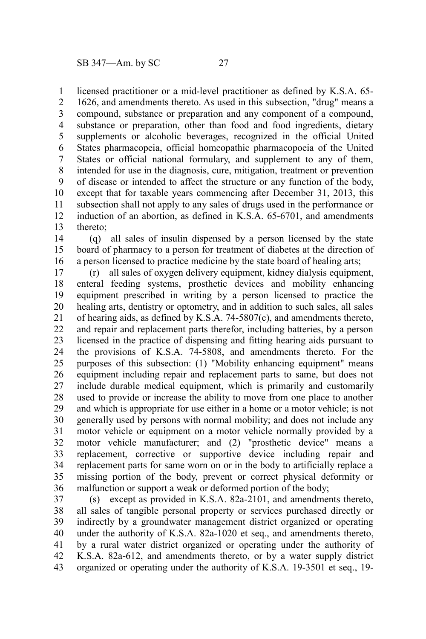licensed practitioner or a mid-level practitioner as defined by K.S.A. 65- 1

1626, and amendments thereto. As used in this subsection, "drug" means a compound, substance or preparation and any component of a compound, substance or preparation, other than food and food ingredients, dietary supplements or alcoholic beverages, recognized in the official United States pharmacopeia, official homeopathic pharmacopoeia of the United States or official national formulary, and supplement to any of them, intended for use in the diagnosis, cure, mitigation, treatment or prevention of disease or intended to affect the structure or any function of the body, except that for taxable years commencing after December 31, 2013, this subsection shall not apply to any sales of drugs used in the performance or induction of an abortion, as defined in K.S.A. 65-6701, and amendments thereto; 2 3 4 5 6 7 8 9 10 11 12 13

(q) all sales of insulin dispensed by a person licensed by the state board of pharmacy to a person for treatment of diabetes at the direction of a person licensed to practice medicine by the state board of healing arts; 14 15 16

(r) all sales of oxygen delivery equipment, kidney dialysis equipment, enteral feeding systems, prosthetic devices and mobility enhancing equipment prescribed in writing by a person licensed to practice the healing arts, dentistry or optometry, and in addition to such sales, all sales of hearing aids, as defined by K.S.A. 74-5807(c), and amendments thereto, and repair and replacement parts therefor, including batteries, by a person licensed in the practice of dispensing and fitting hearing aids pursuant to the provisions of K.S.A. 74-5808, and amendments thereto. For the purposes of this subsection: (1) "Mobility enhancing equipment" means equipment including repair and replacement parts to same, but does not include durable medical equipment, which is primarily and customarily used to provide or increase the ability to move from one place to another and which is appropriate for use either in a home or a motor vehicle; is not generally used by persons with normal mobility; and does not include any motor vehicle or equipment on a motor vehicle normally provided by a motor vehicle manufacturer; and (2) "prosthetic device" means a replacement, corrective or supportive device including repair and replacement parts for same worn on or in the body to artificially replace a missing portion of the body, prevent or correct physical deformity or malfunction or support a weak or deformed portion of the body; 17 18 19 20 21 22 23 24 25 26 27 28 29 30 31 32 33 34 35 36

(s) except as provided in K.S.A. 82a-2101, and amendments thereto, all sales of tangible personal property or services purchased directly or indirectly by a groundwater management district organized or operating under the authority of K.S.A. 82a-1020 et seq., and amendments thereto, by a rural water district organized or operating under the authority of K.S.A. 82a-612, and amendments thereto, or by a water supply district organized or operating under the authority of K.S.A. 19-3501 et seq., 19- 37 38 39 40 41 42 43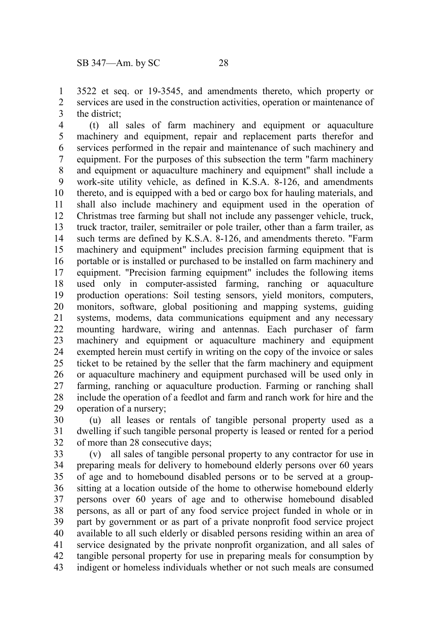3522 et seq. or 19-3545, and amendments thereto, which property or services are used in the construction activities, operation or maintenance of the district; 1 2 3

(t) all sales of farm machinery and equipment or aquaculture machinery and equipment, repair and replacement parts therefor and services performed in the repair and maintenance of such machinery and equipment. For the purposes of this subsection the term "farm machinery and equipment or aquaculture machinery and equipment" shall include a work-site utility vehicle, as defined in K.S.A. 8-126, and amendments thereto, and is equipped with a bed or cargo box for hauling materials, and shall also include machinery and equipment used in the operation of Christmas tree farming but shall not include any passenger vehicle, truck, truck tractor, trailer, semitrailer or pole trailer, other than a farm trailer, as such terms are defined by K.S.A. 8-126, and amendments thereto. "Farm machinery and equipment" includes precision farming equipment that is portable or is installed or purchased to be installed on farm machinery and equipment. "Precision farming equipment" includes the following items used only in computer-assisted farming, ranching or aquaculture production operations: Soil testing sensors, yield monitors, computers, monitors, software, global positioning and mapping systems, guiding systems, modems, data communications equipment and any necessary mounting hardware, wiring and antennas. Each purchaser of farm machinery and equipment or aquaculture machinery and equipment exempted herein must certify in writing on the copy of the invoice or sales ticket to be retained by the seller that the farm machinery and equipment or aquaculture machinery and equipment purchased will be used only in farming, ranching or aquaculture production. Farming or ranching shall include the operation of a feedlot and farm and ranch work for hire and the operation of a nursery; 4 5 6 7 8 9 10 11 12 13 14 15 16 17 18 19 20 21 22 23 24 25 26 27 28 29

(u) all leases or rentals of tangible personal property used as a dwelling if such tangible personal property is leased or rented for a period of more than 28 consecutive days; 30 31 32

(v) all sales of tangible personal property to any contractor for use in preparing meals for delivery to homebound elderly persons over 60 years of age and to homebound disabled persons or to be served at a groupsitting at a location outside of the home to otherwise homebound elderly persons over 60 years of age and to otherwise homebound disabled persons, as all or part of any food service project funded in whole or in part by government or as part of a private nonprofit food service project available to all such elderly or disabled persons residing within an area of service designated by the private nonprofit organization, and all sales of tangible personal property for use in preparing meals for consumption by indigent or homeless individuals whether or not such meals are consumed 33 34 35 36 37 38 39 40 41 42 43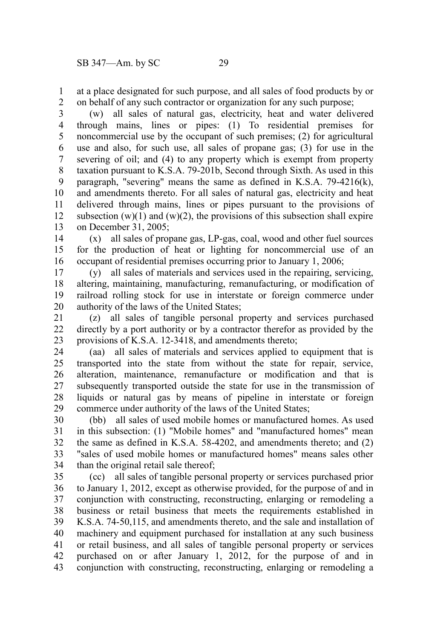at a place designated for such purpose, and all sales of food products by or on behalf of any such contractor or organization for any such purpose; 1 2

(w) all sales of natural gas, electricity, heat and water delivered through mains, lines or pipes: (1) To residential premises for noncommercial use by the occupant of such premises; (2) for agricultural use and also, for such use, all sales of propane gas; (3) for use in the severing of oil; and (4) to any property which is exempt from property taxation pursuant to K.S.A. 79-201b, Second through Sixth. As used in this paragraph, "severing" means the same as defined in K.S.A. 79-4216(k), and amendments thereto. For all sales of natural gas, electricity and heat delivered through mains, lines or pipes pursuant to the provisions of subsection  $(w)(1)$  and  $(w)(2)$ , the provisions of this subsection shall expire on December 31, 2005; 3 4 5 6 7 8 9 10 11 12 13

(x) all sales of propane gas, LP-gas, coal, wood and other fuel sources for the production of heat or lighting for noncommercial use of an occupant of residential premises occurring prior to January 1, 2006; 14 15 16

(y) all sales of materials and services used in the repairing, servicing, altering, maintaining, manufacturing, remanufacturing, or modification of railroad rolling stock for use in interstate or foreign commerce under authority of the laws of the United States; 17 18 19 20

(z) all sales of tangible personal property and services purchased directly by a port authority or by a contractor therefor as provided by the provisions of K.S.A. 12-3418, and amendments thereto; 21 22 23

(aa) all sales of materials and services applied to equipment that is transported into the state from without the state for repair, service, alteration, maintenance, remanufacture or modification and that is subsequently transported outside the state for use in the transmission of liquids or natural gas by means of pipeline in interstate or foreign commerce under authority of the laws of the United States; 24 25 26 27 28 29

(bb) all sales of used mobile homes or manufactured homes. As used in this subsection: (1) "Mobile homes" and "manufactured homes" mean the same as defined in K.S.A. 58-4202, and amendments thereto; and (2) "sales of used mobile homes or manufactured homes" means sales other than the original retail sale thereof; 30 31 32 33 34

(cc) all sales of tangible personal property or services purchased prior to January 1, 2012, except as otherwise provided, for the purpose of and in conjunction with constructing, reconstructing, enlarging or remodeling a business or retail business that meets the requirements established in K.S.A. 74-50,115, and amendments thereto, and the sale and installation of machinery and equipment purchased for installation at any such business or retail business, and all sales of tangible personal property or services purchased on or after January 1, 2012, for the purpose of and in conjunction with constructing, reconstructing, enlarging or remodeling a 35 36 37 38 39 40 41 42 43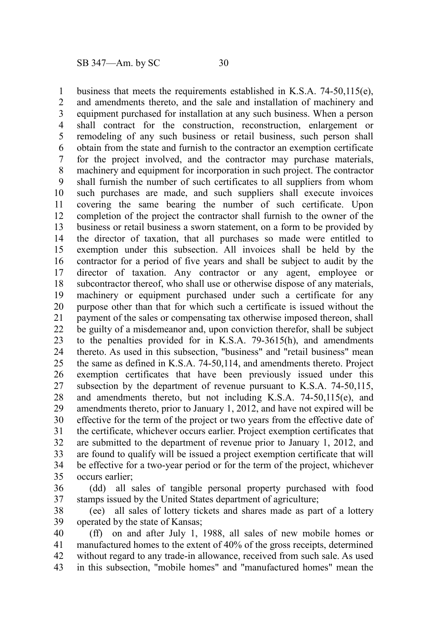business that meets the requirements established in K.S.A. 74-50,115(e), and amendments thereto, and the sale and installation of machinery and equipment purchased for installation at any such business. When a person shall contract for the construction, reconstruction, enlargement or remodeling of any such business or retail business, such person shall obtain from the state and furnish to the contractor an exemption certificate for the project involved, and the contractor may purchase materials, machinery and equipment for incorporation in such project. The contractor shall furnish the number of such certificates to all suppliers from whom such purchases are made, and such suppliers shall execute invoices covering the same bearing the number of such certificate. Upon completion of the project the contractor shall furnish to the owner of the business or retail business a sworn statement, on a form to be provided by the director of taxation, that all purchases so made were entitled to exemption under this subsection. All invoices shall be held by the contractor for a period of five years and shall be subject to audit by the director of taxation. Any contractor or any agent, employee or subcontractor thereof, who shall use or otherwise dispose of any materials, machinery or equipment purchased under such a certificate for any purpose other than that for which such a certificate is issued without the payment of the sales or compensating tax otherwise imposed thereon, shall be guilty of a misdemeanor and, upon conviction therefor, shall be subject to the penalties provided for in K.S.A. 79-3615(h), and amendments thereto. As used in this subsection, "business" and "retail business" mean the same as defined in K.S.A. 74-50,114, and amendments thereto. Project exemption certificates that have been previously issued under this subsection by the department of revenue pursuant to K.S.A. 74-50,115, and amendments thereto, but not including K.S.A. 74-50,115(e), and amendments thereto, prior to January 1, 2012, and have not expired will be effective for the term of the project or two years from the effective date of the certificate, whichever occurs earlier. Project exemption certificates that are submitted to the department of revenue prior to January 1, 2012, and are found to qualify will be issued a project exemption certificate that will be effective for a two-year period or for the term of the project, whichever occurs earlier; 1 2 3 4 5 6 7 8 9 10 11 12 13 14 15 16 17 18 19 20 21 22 23 24 25 26 27 28 29 30 31 32 33 34 35

(dd) all sales of tangible personal property purchased with food stamps issued by the United States department of agriculture; 36 37

(ee) all sales of lottery tickets and shares made as part of a lottery operated by the state of Kansas; 38 39

(ff) on and after July 1, 1988, all sales of new mobile homes or manufactured homes to the extent of 40% of the gross receipts, determined without regard to any trade-in allowance, received from such sale. As used in this subsection, "mobile homes" and "manufactured homes" mean the 40 41 42 43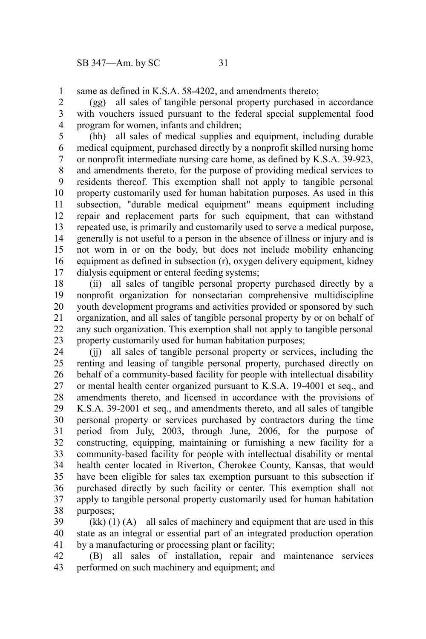same as defined in K.S.A. 58-4202, and amendments thereto; 1

(gg) all sales of tangible personal property purchased in accordance with vouchers issued pursuant to the federal special supplemental food program for women, infants and children; 2 3 4

(hh) all sales of medical supplies and equipment, including durable medical equipment, purchased directly by a nonprofit skilled nursing home or nonprofit intermediate nursing care home, as defined by K.S.A. 39-923, and amendments thereto, for the purpose of providing medical services to residents thereof. This exemption shall not apply to tangible personal property customarily used for human habitation purposes. As used in this subsection, "durable medical equipment" means equipment including repair and replacement parts for such equipment, that can withstand repeated use, is primarily and customarily used to serve a medical purpose, generally is not useful to a person in the absence of illness or injury and is not worn in or on the body, but does not include mobility enhancing equipment as defined in subsection (r), oxygen delivery equipment, kidney dialysis equipment or enteral feeding systems; 5 6 7 8 9 10 11 12 13 14 15 16 17

(ii) all sales of tangible personal property purchased directly by a nonprofit organization for nonsectarian comprehensive multidiscipline youth development programs and activities provided or sponsored by such organization, and all sales of tangible personal property by or on behalf of any such organization. This exemption shall not apply to tangible personal property customarily used for human habitation purposes; 18 19 20 21 22 23

(jj) all sales of tangible personal property or services, including the renting and leasing of tangible personal property, purchased directly on behalf of a community-based facility for people with intellectual disability or mental health center organized pursuant to K.S.A. 19-4001 et seq., and amendments thereto, and licensed in accordance with the provisions of K.S.A. 39-2001 et seq., and amendments thereto, and all sales of tangible personal property or services purchased by contractors during the time period from July, 2003, through June, 2006, for the purpose of constructing, equipping, maintaining or furnishing a new facility for a community-based facility for people with intellectual disability or mental health center located in Riverton, Cherokee County, Kansas, that would have been eligible for sales tax exemption pursuant to this subsection if purchased directly by such facility or center. This exemption shall not apply to tangible personal property customarily used for human habitation purposes; 24 25 26 27 28 29 30 31 32 33 34 35 36 37 38

 $(kk)$  (1) (A) all sales of machinery and equipment that are used in this state as an integral or essential part of an integrated production operation by a manufacturing or processing plant or facility; 39 40 41

(B) all sales of installation, repair and maintenance services performed on such machinery and equipment; and 42 43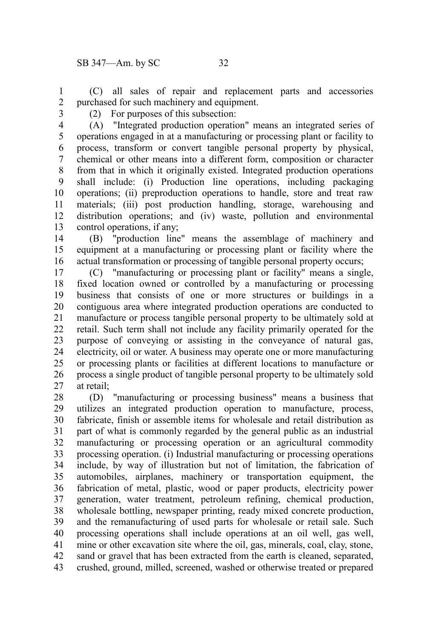(C) all sales of repair and replacement parts and accessories purchased for such machinery and equipment. 1 2

- 3
- (2) For purposes of this subsection:

(A) "Integrated production operation" means an integrated series of operations engaged in at a manufacturing or processing plant or facility to process, transform or convert tangible personal property by physical, chemical or other means into a different form, composition or character from that in which it originally existed. Integrated production operations shall include: (i) Production line operations, including packaging operations; (ii) preproduction operations to handle, store and treat raw materials; (iii) post production handling, storage, warehousing and distribution operations; and (iv) waste, pollution and environmental control operations, if any; 4 5 6 7 8 9 10 11 12 13

(B) "production line" means the assemblage of machinery and equipment at a manufacturing or processing plant or facility where the actual transformation or processing of tangible personal property occurs; 14 15 16

(C) "manufacturing or processing plant or facility" means a single, fixed location owned or controlled by a manufacturing or processing business that consists of one or more structures or buildings in a contiguous area where integrated production operations are conducted to manufacture or process tangible personal property to be ultimately sold at retail. Such term shall not include any facility primarily operated for the purpose of conveying or assisting in the conveyance of natural gas, electricity, oil or water. A business may operate one or more manufacturing or processing plants or facilities at different locations to manufacture or process a single product of tangible personal property to be ultimately sold at retail; 17 18 19 20 21 22 23 24 25 26 27

(D) "manufacturing or processing business" means a business that utilizes an integrated production operation to manufacture, process, fabricate, finish or assemble items for wholesale and retail distribution as part of what is commonly regarded by the general public as an industrial manufacturing or processing operation or an agricultural commodity processing operation. (i) Industrial manufacturing or processing operations include, by way of illustration but not of limitation, the fabrication of automobiles, airplanes, machinery or transportation equipment, the fabrication of metal, plastic, wood or paper products, electricity power generation, water treatment, petroleum refining, chemical production, wholesale bottling, newspaper printing, ready mixed concrete production, and the remanufacturing of used parts for wholesale or retail sale. Such processing operations shall include operations at an oil well, gas well, mine or other excavation site where the oil, gas, minerals, coal, clay, stone, sand or gravel that has been extracted from the earth is cleaned, separated, crushed, ground, milled, screened, washed or otherwise treated or prepared 28 29 30 31 32 33 34 35 36 37 38 39 40 41 42 43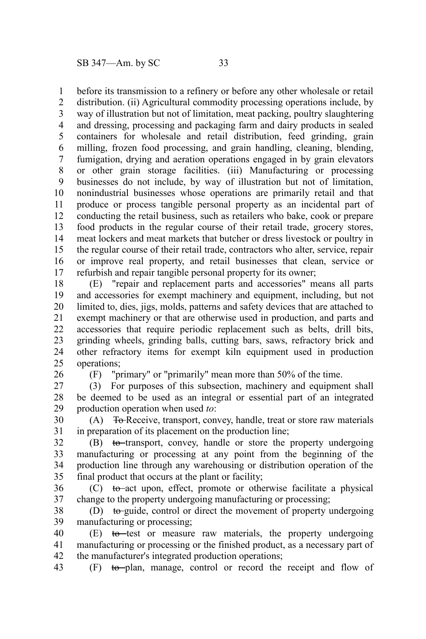before its transmission to a refinery or before any other wholesale or retail 1

distribution. (ii) Agricultural commodity processing operations include, by way of illustration but not of limitation, meat packing, poultry slaughtering and dressing, processing and packaging farm and dairy products in sealed containers for wholesale and retail distribution, feed grinding, grain milling, frozen food processing, and grain handling, cleaning, blending, fumigation, drying and aeration operations engaged in by grain elevators or other grain storage facilities. (iii) Manufacturing or processing businesses do not include, by way of illustration but not of limitation, nonindustrial businesses whose operations are primarily retail and that produce or process tangible personal property as an incidental part of conducting the retail business, such as retailers who bake, cook or prepare food products in the regular course of their retail trade, grocery stores, meat lockers and meat markets that butcher or dress livestock or poultry in the regular course of their retail trade, contractors who alter, service, repair or improve real property, and retail businesses that clean, service or refurbish and repair tangible personal property for its owner; 2 3 4 5 6 7 8 9 10 11 12 13 14 15 16 17

(E) "repair and replacement parts and accessories" means all parts and accessories for exempt machinery and equipment, including, but not limited to, dies, jigs, molds, patterns and safety devices that are attached to exempt machinery or that are otherwise used in production, and parts and accessories that require periodic replacement such as belts, drill bits, grinding wheels, grinding balls, cutting bars, saws, refractory brick and other refractory items for exempt kiln equipment used in production operations; 18 19 20 21 22 23 24 25

26

(F) "primary" or "primarily" mean more than 50% of the time.

(3) For purposes of this subsection, machinery and equipment shall be deemed to be used as an integral or essential part of an integrated production operation when used *to*: 27 28 29

(A) To Receive, transport, convey, handle, treat or store raw materials in preparation of its placement on the production line; 30 31

(B) to transport, convey, handle or store the property undergoing manufacturing or processing at any point from the beginning of the production line through any warehousing or distribution operation of the final product that occurs at the plant or facility; 32 33 34 35

(C) to act upon, effect, promote or otherwise facilitate a physical change to the property undergoing manufacturing or processing; 36 37

(D) to guide, control or direct the movement of property undergoing manufacturing or processing; 38 39

(E) to test or measure raw materials, the property undergoing manufacturing or processing or the finished product, as a necessary part of the manufacturer's integrated production operations; 40 41 42

(F) to plan, manage, control or record the receipt and flow of 43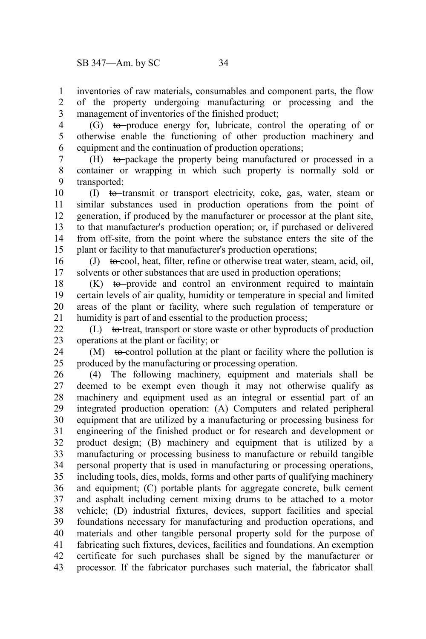inventories of raw materials, consumables and component parts, the flow of the property undergoing manufacturing or processing and the management of inventories of the finished product; 1 2 3

 $(G)$  to produce energy for, lubricate, control the operating of or otherwise enable the functioning of other production machinery and equipment and the continuation of production operations; 4 5 6

(H) to package the property being manufactured or processed in a container or wrapping in which such property is normally sold or transported; 7 8 9

(I) to transmit or transport electricity, coke, gas, water, steam or similar substances used in production operations from the point of generation, if produced by the manufacturer or processor at the plant site, to that manufacturer's production operation; or, if purchased or delivered from off-site, from the point where the substance enters the site of the plant or facility to that manufacturer's production operations; 10 11 12 13 14 15

(J) to cool, heat, filter, refine or otherwise treat water, steam, acid, oil, solvents or other substances that are used in production operations; 16 17

 $(K)$  to provide and control an environment required to maintain certain levels of air quality, humidity or temperature in special and limited areas of the plant or facility, where such regulation of temperature or humidity is part of and essential to the production process; 18 19 20 21

 $(L)$  to treat, transport or store waste or other byproducts of production operations at the plant or facility; or 22 23

 $(M)$  to control pollution at the plant or facility where the pollution is produced by the manufacturing or processing operation. 24 25

(4) The following machinery, equipment and materials shall be deemed to be exempt even though it may not otherwise qualify as machinery and equipment used as an integral or essential part of an integrated production operation: (A) Computers and related peripheral equipment that are utilized by a manufacturing or processing business for engineering of the finished product or for research and development or product design; (B) machinery and equipment that is utilized by a manufacturing or processing business to manufacture or rebuild tangible personal property that is used in manufacturing or processing operations, including tools, dies, molds, forms and other parts of qualifying machinery and equipment; (C) portable plants for aggregate concrete, bulk cement and asphalt including cement mixing drums to be attached to a motor vehicle; (D) industrial fixtures, devices, support facilities and special foundations necessary for manufacturing and production operations, and materials and other tangible personal property sold for the purpose of fabricating such fixtures, devices, facilities and foundations. An exemption certificate for such purchases shall be signed by the manufacturer or processor. If the fabricator purchases such material, the fabricator shall 26 27 28 29 30 31 32 33 34 35 36 37 38 39 40 41 42 43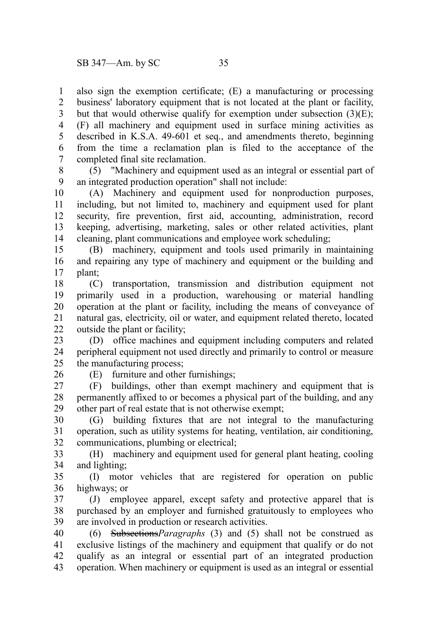also sign the exemption certificate; (E) a manufacturing or processing business' laboratory equipment that is not located at the plant or facility, but that would otherwise qualify for exemption under subsection  $(3)(E)$ ; (F) all machinery and equipment used in surface mining activities as described in K.S.A. 49-601 et seq., and amendments thereto, beginning from the time a reclamation plan is filed to the acceptance of the completed final site reclamation. 1 2 3 4 5 6 7

(5) "Machinery and equipment used as an integral or essential part of an integrated production operation" shall not include: 8 9

(A) Machinery and equipment used for nonproduction purposes, including, but not limited to, machinery and equipment used for plant security, fire prevention, first aid, accounting, administration, record keeping, advertising, marketing, sales or other related activities, plant cleaning, plant communications and employee work scheduling; 10 11 12 13 14

(B) machinery, equipment and tools used primarily in maintaining and repairing any type of machinery and equipment or the building and plant; 15 16 17

(C) transportation, transmission and distribution equipment not primarily used in a production, warehousing or material handling operation at the plant or facility, including the means of conveyance of natural gas, electricity, oil or water, and equipment related thereto, located outside the plant or facility; 18 19 20 21 22

(D) office machines and equipment including computers and related peripheral equipment not used directly and primarily to control or measure the manufacturing process; 23 24 25

26

(E) furniture and other furnishings;

(F) buildings, other than exempt machinery and equipment that is permanently affixed to or becomes a physical part of the building, and any other part of real estate that is not otherwise exempt; 27 28 29

(G) building fixtures that are not integral to the manufacturing operation, such as utility systems for heating, ventilation, air conditioning, communications, plumbing or electrical; 30 31 32

(H) machinery and equipment used for general plant heating, cooling and lighting; 33 34

(I) motor vehicles that are registered for operation on public highways; or 35 36

(J) employee apparel, except safety and protective apparel that is purchased by an employer and furnished gratuitously to employees who are involved in production or research activities. 37 38 39

(6) Subsections*Paragraphs* (3) and (5) shall not be construed as exclusive listings of the machinery and equipment that qualify or do not qualify as an integral or essential part of an integrated production operation. When machinery or equipment is used as an integral or essential 40 41 42 43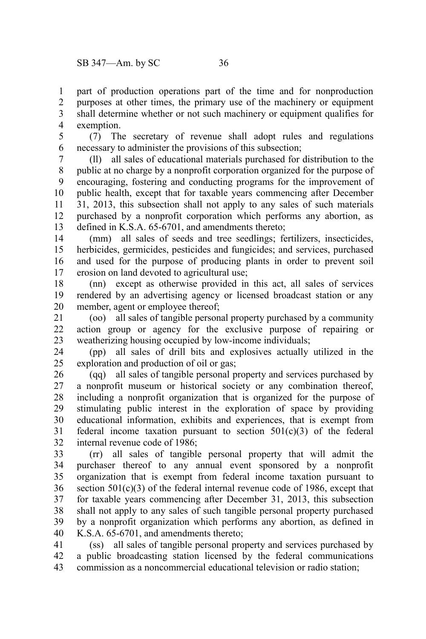part of production operations part of the time and for nonproduction purposes at other times, the primary use of the machinery or equipment shall determine whether or not such machinery or equipment qualifies for exemption. 1 2 3 4

(7) The secretary of revenue shall adopt rules and regulations necessary to administer the provisions of this subsection; 5 6

(ll) all sales of educational materials purchased for distribution to the public at no charge by a nonprofit corporation organized for the purpose of encouraging, fostering and conducting programs for the improvement of public health, except that for taxable years commencing after December 31, 2013, this subsection shall not apply to any sales of such materials purchased by a nonprofit corporation which performs any abortion, as defined in K.S.A. 65-6701, and amendments thereto; 7 8 9 10 11 12 13

(mm) all sales of seeds and tree seedlings; fertilizers, insecticides, herbicides, germicides, pesticides and fungicides; and services, purchased and used for the purpose of producing plants in order to prevent soil erosion on land devoted to agricultural use; 14 15 16 17

(nn) except as otherwise provided in this act, all sales of services rendered by an advertising agency or licensed broadcast station or any member, agent or employee thereof; 18 19 20

(oo) all sales of tangible personal property purchased by a community action group or agency for the exclusive purpose of repairing or weatherizing housing occupied by low-income individuals; 21 22 23

(pp) all sales of drill bits and explosives actually utilized in the exploration and production of oil or gas; 24 25

(qq) all sales of tangible personal property and services purchased by a nonprofit museum or historical society or any combination thereof, including a nonprofit organization that is organized for the purpose of stimulating public interest in the exploration of space by providing educational information, exhibits and experiences, that is exempt from federal income taxation pursuant to section 501(c)(3) of the federal internal revenue code of 1986; 26 27 28 29 30 31 32

(rr) all sales of tangible personal property that will admit the purchaser thereof to any annual event sponsored by a nonprofit organization that is exempt from federal income taxation pursuant to section  $501(c)(3)$  of the federal internal revenue code of 1986, except that for taxable years commencing after December 31, 2013, this subsection shall not apply to any sales of such tangible personal property purchased by a nonprofit organization which performs any abortion, as defined in K.S.A. 65-6701, and amendments thereto; 33 34 35 36 37 38 39 40

(ss) all sales of tangible personal property and services purchased by a public broadcasting station licensed by the federal communications commission as a noncommercial educational television or radio station; 41 42 43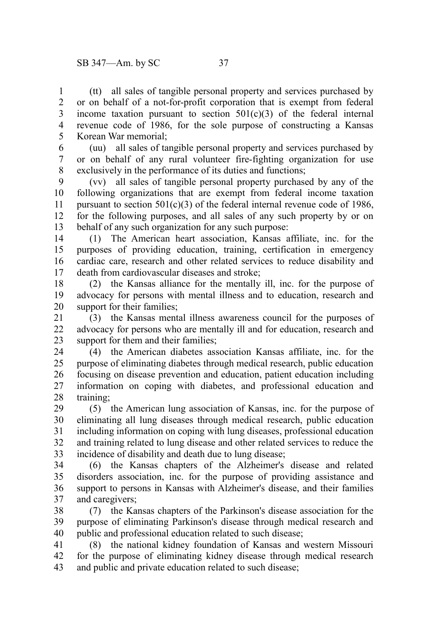(tt) all sales of tangible personal property and services purchased by or on behalf of a not-for-profit corporation that is exempt from federal income taxation pursuant to section  $501(c)(3)$  of the federal internal revenue code of 1986, for the sole purpose of constructing a Kansas Korean War memorial; 1 2 3 4 5

(uu) all sales of tangible personal property and services purchased by or on behalf of any rural volunteer fire-fighting organization for use exclusively in the performance of its duties and functions; 6 7 8

(vv) all sales of tangible personal property purchased by any of the following organizations that are exempt from federal income taxation pursuant to section  $501(c)(3)$  of the federal internal revenue code of 1986, for the following purposes, and all sales of any such property by or on behalf of any such organization for any such purpose: 9 10 11 12 13

(1) The American heart association, Kansas affiliate, inc. for the purposes of providing education, training, certification in emergency cardiac care, research and other related services to reduce disability and death from cardiovascular diseases and stroke; 14 15 16 17

(2) the Kansas alliance for the mentally ill, inc. for the purpose of advocacy for persons with mental illness and to education, research and support for their families; 18 19 20

(3) the Kansas mental illness awareness council for the purposes of advocacy for persons who are mentally ill and for education, research and support for them and their families: 21 22 23

(4) the American diabetes association Kansas affiliate, inc. for the purpose of eliminating diabetes through medical research, public education focusing on disease prevention and education, patient education including information on coping with diabetes, and professional education and training; 24 25 26 27 28

(5) the American lung association of Kansas, inc. for the purpose of eliminating all lung diseases through medical research, public education including information on coping with lung diseases, professional education and training related to lung disease and other related services to reduce the incidence of disability and death due to lung disease; 29 30 31 32 33

(6) the Kansas chapters of the Alzheimer's disease and related disorders association, inc. for the purpose of providing assistance and support to persons in Kansas with Alzheimer's disease, and their families and caregivers; 34 35 36 37

(7) the Kansas chapters of the Parkinson's disease association for the purpose of eliminating Parkinson's disease through medical research and public and professional education related to such disease; 38 39 40

(8) the national kidney foundation of Kansas and western Missouri for the purpose of eliminating kidney disease through medical research and public and private education related to such disease; 41 42 43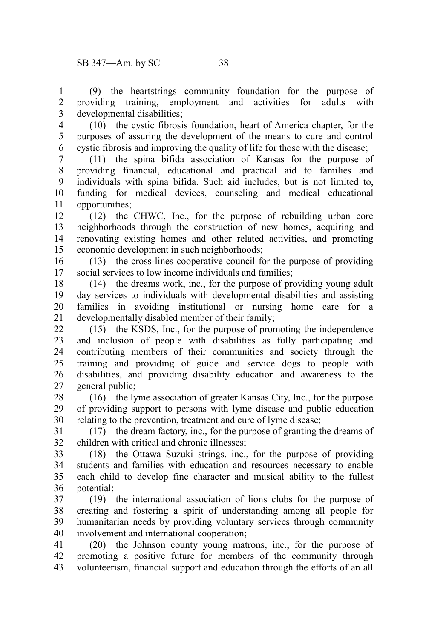(9) the heartstrings community foundation for the purpose of providing training, employment and activities for adults with developmental disabilities; 1 2 3

4 5

(10) the cystic fibrosis foundation, heart of America chapter, for the purposes of assuring the development of the means to cure and control cystic fibrosis and improving the quality of life for those with the disease; 6

(11) the spina bifida association of Kansas for the purpose of providing financial, educational and practical aid to families and individuals with spina bifida. Such aid includes, but is not limited to, funding for medical devices, counseling and medical educational opportunities; 7 8 9 10 11

(12) the CHWC, Inc., for the purpose of rebuilding urban core neighborhoods through the construction of new homes, acquiring and renovating existing homes and other related activities, and promoting economic development in such neighborhoods; 12 13 14 15

(13) the cross-lines cooperative council for the purpose of providing social services to low income individuals and families; 16 17

(14) the dreams work, inc., for the purpose of providing young adult day services to individuals with developmental disabilities and assisting families in avoiding institutional or nursing home care for a developmentally disabled member of their family; 18 19 20 21

(15) the KSDS, Inc., for the purpose of promoting the independence and inclusion of people with disabilities as fully participating and contributing members of their communities and society through the training and providing of guide and service dogs to people with disabilities, and providing disability education and awareness to the general public; 22 23 24 25 26 27

(16) the lyme association of greater Kansas City, Inc., for the purpose of providing support to persons with lyme disease and public education relating to the prevention, treatment and cure of lyme disease; 28 29 30

(17) the dream factory, inc., for the purpose of granting the dreams of children with critical and chronic illnesses; 31 32

(18) the Ottawa Suzuki strings, inc., for the purpose of providing students and families with education and resources necessary to enable each child to develop fine character and musical ability to the fullest potential; 33 34 35 36

(19) the international association of lions clubs for the purpose of creating and fostering a spirit of understanding among all people for humanitarian needs by providing voluntary services through community involvement and international cooperation; 37 38 39 40

(20) the Johnson county young matrons, inc., for the purpose of promoting a positive future for members of the community through volunteerism, financial support and education through the efforts of an all 41 42 43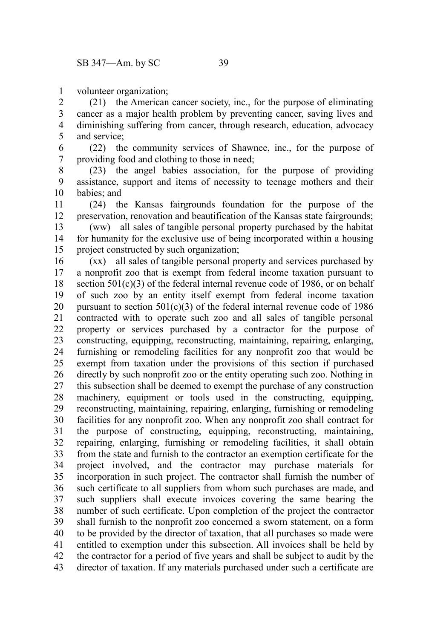volunteer organization; 1

(21) the American cancer society, inc., for the purpose of eliminating cancer as a major health problem by preventing cancer, saving lives and diminishing suffering from cancer, through research, education, advocacy and service; 2 3 4 5

(22) the community services of Shawnee, inc., for the purpose of providing food and clothing to those in need; 6 7

(23) the angel babies association, for the purpose of providing assistance, support and items of necessity to teenage mothers and their babies; and 8 9 10

(24) the Kansas fairgrounds foundation for the purpose of the preservation, renovation and beautification of the Kansas state fairgrounds; 11 12

(ww) all sales of tangible personal property purchased by the habitat for humanity for the exclusive use of being incorporated within a housing project constructed by such organization; 13 14 15

(xx) all sales of tangible personal property and services purchased by a nonprofit zoo that is exempt from federal income taxation pursuant to section  $501(c)(3)$  of the federal internal revenue code of 1986, or on behalf of such zoo by an entity itself exempt from federal income taxation pursuant to section  $501(c)(3)$  of the federal internal revenue code of 1986 contracted with to operate such zoo and all sales of tangible personal property or services purchased by a contractor for the purpose of constructing, equipping, reconstructing, maintaining, repairing, enlarging, furnishing or remodeling facilities for any nonprofit zoo that would be exempt from taxation under the provisions of this section if purchased directly by such nonprofit zoo or the entity operating such zoo. Nothing in this subsection shall be deemed to exempt the purchase of any construction machinery, equipment or tools used in the constructing, equipping, reconstructing, maintaining, repairing, enlarging, furnishing or remodeling facilities for any nonprofit zoo. When any nonprofit zoo shall contract for the purpose of constructing, equipping, reconstructing, maintaining, repairing, enlarging, furnishing or remodeling facilities, it shall obtain from the state and furnish to the contractor an exemption certificate for the project involved, and the contractor may purchase materials for incorporation in such project. The contractor shall furnish the number of such certificate to all suppliers from whom such purchases are made, and such suppliers shall execute invoices covering the same bearing the number of such certificate. Upon completion of the project the contractor shall furnish to the nonprofit zoo concerned a sworn statement, on a form to be provided by the director of taxation, that all purchases so made were entitled to exemption under this subsection. All invoices shall be held by the contractor for a period of five years and shall be subject to audit by the director of taxation. If any materials purchased under such a certificate are 16 17 18 19 20 21 22 23 24 25 26 27 28 29 30 31 32 33 34 35 36 37 38 39 40 41 42 43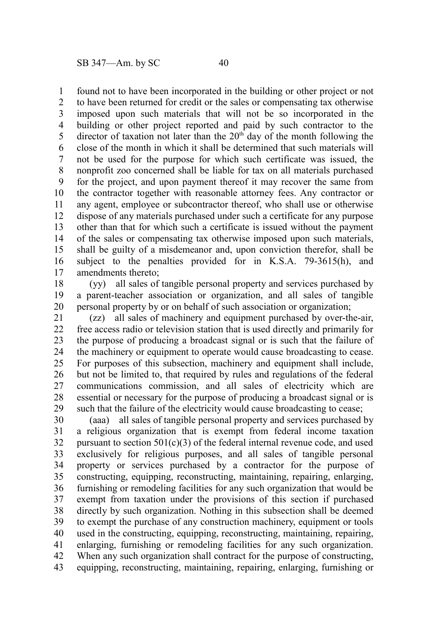found not to have been incorporated in the building or other project or not to have been returned for credit or the sales or compensating tax otherwise imposed upon such materials that will not be so incorporated in the building or other project reported and paid by such contractor to the director of taxation not later than the  $20<sup>th</sup>$  day of the month following the close of the month in which it shall be determined that such materials will not be used for the purpose for which such certificate was issued, the nonprofit zoo concerned shall be liable for tax on all materials purchased for the project, and upon payment thereof it may recover the same from the contractor together with reasonable attorney fees. Any contractor or any agent, employee or subcontractor thereof, who shall use or otherwise dispose of any materials purchased under such a certificate for any purpose other than that for which such a certificate is issued without the payment of the sales or compensating tax otherwise imposed upon such materials, shall be guilty of a misdemeanor and, upon conviction therefor, shall be subject to the penalties provided for in K.S.A. 79-3615(h), and amendments thereto; 1 2 3 4 5 6 7 8 9 10 11 12 13 14 15 16 17

(yy) all sales of tangible personal property and services purchased by a parent-teacher association or organization, and all sales of tangible personal property by or on behalf of such association or organization; 18 19 20

(zz) all sales of machinery and equipment purchased by over-the-air, free access radio or television station that is used directly and primarily for the purpose of producing a broadcast signal or is such that the failure of the machinery or equipment to operate would cause broadcasting to cease. For purposes of this subsection, machinery and equipment shall include, but not be limited to, that required by rules and regulations of the federal communications commission, and all sales of electricity which are essential or necessary for the purpose of producing a broadcast signal or is such that the failure of the electricity would cause broadcasting to cease; 21 22 23 24 25 26 27 28 29

(aaa) all sales of tangible personal property and services purchased by a religious organization that is exempt from federal income taxation pursuant to section  $501(c)(3)$  of the federal internal revenue code, and used exclusively for religious purposes, and all sales of tangible personal property or services purchased by a contractor for the purpose of constructing, equipping, reconstructing, maintaining, repairing, enlarging, furnishing or remodeling facilities for any such organization that would be exempt from taxation under the provisions of this section if purchased directly by such organization. Nothing in this subsection shall be deemed to exempt the purchase of any construction machinery, equipment or tools used in the constructing, equipping, reconstructing, maintaining, repairing, enlarging, furnishing or remodeling facilities for any such organization. When any such organization shall contract for the purpose of constructing, equipping, reconstructing, maintaining, repairing, enlarging, furnishing or 30 31 32 33 34 35 36 37 38 39 40 41 42 43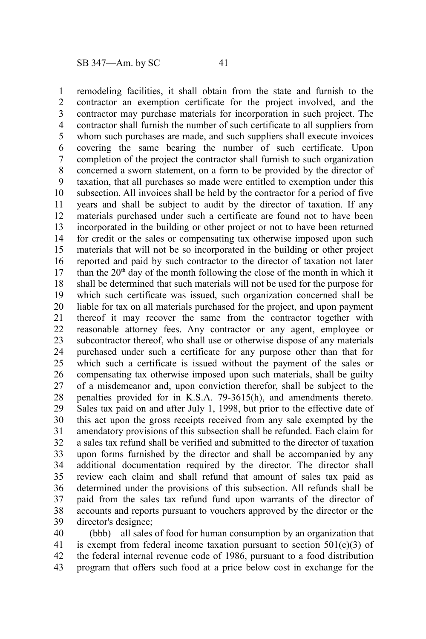remodeling facilities, it shall obtain from the state and furnish to the contractor an exemption certificate for the project involved, and the contractor may purchase materials for incorporation in such project. The contractor shall furnish the number of such certificate to all suppliers from whom such purchases are made, and such suppliers shall execute invoices covering the same bearing the number of such certificate. Upon completion of the project the contractor shall furnish to such organization concerned a sworn statement, on a form to be provided by the director of taxation, that all purchases so made were entitled to exemption under this subsection. All invoices shall be held by the contractor for a period of five years and shall be subject to audit by the director of taxation. If any materials purchased under such a certificate are found not to have been incorporated in the building or other project or not to have been returned for credit or the sales or compensating tax otherwise imposed upon such materials that will not be so incorporated in the building or other project reported and paid by such contractor to the director of taxation not later than the  $20<sup>th</sup>$  day of the month following the close of the month in which it shall be determined that such materials will not be used for the purpose for which such certificate was issued, such organization concerned shall be liable for tax on all materials purchased for the project, and upon payment thereof it may recover the same from the contractor together with reasonable attorney fees. Any contractor or any agent, employee or subcontractor thereof, who shall use or otherwise dispose of any materials purchased under such a certificate for any purpose other than that for which such a certificate is issued without the payment of the sales or compensating tax otherwise imposed upon such materials, shall be guilty of a misdemeanor and, upon conviction therefor, shall be subject to the penalties provided for in K.S.A. 79-3615(h), and amendments thereto. Sales tax paid on and after July 1, 1998, but prior to the effective date of this act upon the gross receipts received from any sale exempted by the amendatory provisions of this subsection shall be refunded. Each claim for a sales tax refund shall be verified and submitted to the director of taxation upon forms furnished by the director and shall be accompanied by any additional documentation required by the director. The director shall review each claim and shall refund that amount of sales tax paid as determined under the provisions of this subsection. All refunds shall be paid from the sales tax refund fund upon warrants of the director of accounts and reports pursuant to vouchers approved by the director or the director's designee; 1 2 3 4 5 6 7 8 9 10 11 12 13 14 15 16 17 18 19 20 21 22 23 24 25 26 27 28 29 30 31 32 33 34 35 36 37 38 39

(bbb) all sales of food for human consumption by an organization that is exempt from federal income taxation pursuant to section  $501(c)(3)$  of the federal internal revenue code of 1986, pursuant to a food distribution program that offers such food at a price below cost in exchange for the 40 41 42 43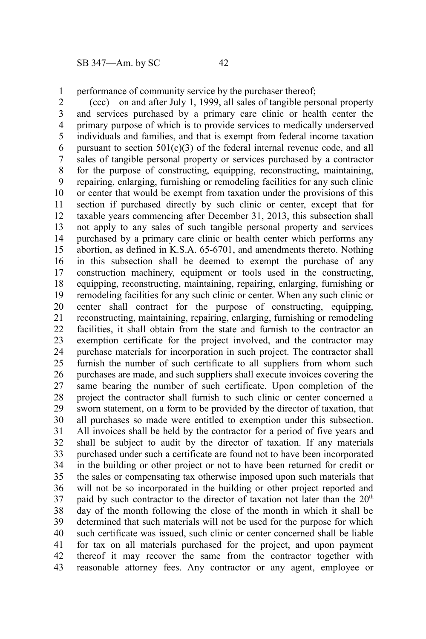performance of community service by the purchaser thereof; 1

(ccc) on and after July 1, 1999, all sales of tangible personal property and services purchased by a primary care clinic or health center the primary purpose of which is to provide services to medically underserved individuals and families, and that is exempt from federal income taxation pursuant to section  $501(c)(3)$  of the federal internal revenue code, and all sales of tangible personal property or services purchased by a contractor for the purpose of constructing, equipping, reconstructing, maintaining, repairing, enlarging, furnishing or remodeling facilities for any such clinic or center that would be exempt from taxation under the provisions of this section if purchased directly by such clinic or center, except that for taxable years commencing after December 31, 2013, this subsection shall not apply to any sales of such tangible personal property and services purchased by a primary care clinic or health center which performs any abortion, as defined in K.S.A. 65-6701, and amendments thereto. Nothing in this subsection shall be deemed to exempt the purchase of any construction machinery, equipment or tools used in the constructing, equipping, reconstructing, maintaining, repairing, enlarging, furnishing or remodeling facilities for any such clinic or center. When any such clinic or center shall contract for the purpose of constructing, equipping, reconstructing, maintaining, repairing, enlarging, furnishing or remodeling facilities, it shall obtain from the state and furnish to the contractor an exemption certificate for the project involved, and the contractor may purchase materials for incorporation in such project. The contractor shall furnish the number of such certificate to all suppliers from whom such purchases are made, and such suppliers shall execute invoices covering the same bearing the number of such certificate. Upon completion of the project the contractor shall furnish to such clinic or center concerned a sworn statement, on a form to be provided by the director of taxation, that all purchases so made were entitled to exemption under this subsection. All invoices shall be held by the contractor for a period of five years and shall be subject to audit by the director of taxation. If any materials purchased under such a certificate are found not to have been incorporated in the building or other project or not to have been returned for credit or the sales or compensating tax otherwise imposed upon such materials that will not be so incorporated in the building or other project reported and paid by such contractor to the director of taxation not later than the  $20<sup>th</sup>$ day of the month following the close of the month in which it shall be determined that such materials will not be used for the purpose for which such certificate was issued, such clinic or center concerned shall be liable for tax on all materials purchased for the project, and upon payment thereof it may recover the same from the contractor together with reasonable attorney fees. Any contractor or any agent, employee or 2 3 4 5 6 7 8 9 10 11 12 13 14 15 16 17 18 19 20 21 22 23 24 25 26 27 28 29 30 31 32 33 34 35 36 37 38 39 40 41 42 43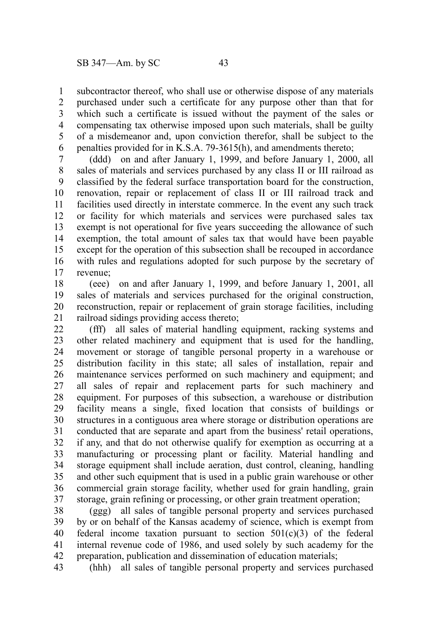subcontractor thereof, who shall use or otherwise dispose of any materials purchased under such a certificate for any purpose other than that for which such a certificate is issued without the payment of the sales or compensating tax otherwise imposed upon such materials, shall be guilty of a misdemeanor and, upon conviction therefor, shall be subject to the penalties provided for in K.S.A. 79-3615(h), and amendments thereto; 1 2 3 4 5 6

(ddd) on and after January 1, 1999, and before January 1, 2000, all sales of materials and services purchased by any class II or III railroad as classified by the federal surface transportation board for the construction, renovation, repair or replacement of class II or III railroad track and facilities used directly in interstate commerce. In the event any such track or facility for which materials and services were purchased sales tax exempt is not operational for five years succeeding the allowance of such exemption, the total amount of sales tax that would have been payable except for the operation of this subsection shall be recouped in accordance with rules and regulations adopted for such purpose by the secretary of revenue; 7 8 9 10 11 12 13 14 15 16 17

(eee) on and after January 1, 1999, and before January 1, 2001, all sales of materials and services purchased for the original construction, reconstruction, repair or replacement of grain storage facilities, including railroad sidings providing access thereto; 18 19 20 21

(fff) all sales of material handling equipment, racking systems and other related machinery and equipment that is used for the handling, movement or storage of tangible personal property in a warehouse or distribution facility in this state; all sales of installation, repair and maintenance services performed on such machinery and equipment; and all sales of repair and replacement parts for such machinery and equipment. For purposes of this subsection, a warehouse or distribution facility means a single, fixed location that consists of buildings or structures in a contiguous area where storage or distribution operations are conducted that are separate and apart from the business' retail operations, if any, and that do not otherwise qualify for exemption as occurring at a manufacturing or processing plant or facility. Material handling and storage equipment shall include aeration, dust control, cleaning, handling and other such equipment that is used in a public grain warehouse or other commercial grain storage facility, whether used for grain handling, grain storage, grain refining or processing, or other grain treatment operation; 22 23 24 25 26 27 28 29 30 31 32 33 34 35 36 37

(ggg) all sales of tangible personal property and services purchased by or on behalf of the Kansas academy of science, which is exempt from federal income taxation pursuant to section  $501(c)(3)$  of the federal internal revenue code of 1986, and used solely by such academy for the preparation, publication and dissemination of education materials; 38 39 40 41 42

(hhh) all sales of tangible personal property and services purchased 43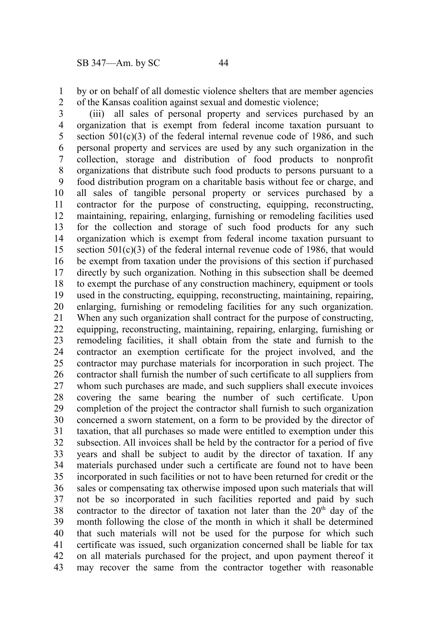by or on behalf of all domestic violence shelters that are member agencies of the Kansas coalition against sexual and domestic violence; 1 2

(iii) all sales of personal property and services purchased by an organization that is exempt from federal income taxation pursuant to section  $501(c)(3)$  of the federal internal revenue code of 1986, and such personal property and services are used by any such organization in the collection, storage and distribution of food products to nonprofit organizations that distribute such food products to persons pursuant to a food distribution program on a charitable basis without fee or charge, and all sales of tangible personal property or services purchased by a contractor for the purpose of constructing, equipping, reconstructing, maintaining, repairing, enlarging, furnishing or remodeling facilities used for the collection and storage of such food products for any such organization which is exempt from federal income taxation pursuant to section  $501(c)(3)$  of the federal internal revenue code of 1986, that would be exempt from taxation under the provisions of this section if purchased directly by such organization. Nothing in this subsection shall be deemed to exempt the purchase of any construction machinery, equipment or tools used in the constructing, equipping, reconstructing, maintaining, repairing, enlarging, furnishing or remodeling facilities for any such organization. When any such organization shall contract for the purpose of constructing, equipping, reconstructing, maintaining, repairing, enlarging, furnishing or remodeling facilities, it shall obtain from the state and furnish to the contractor an exemption certificate for the project involved, and the contractor may purchase materials for incorporation in such project. The contractor shall furnish the number of such certificate to all suppliers from whom such purchases are made, and such suppliers shall execute invoices covering the same bearing the number of such certificate. Upon completion of the project the contractor shall furnish to such organization concerned a sworn statement, on a form to be provided by the director of taxation, that all purchases so made were entitled to exemption under this subsection. All invoices shall be held by the contractor for a period of five years and shall be subject to audit by the director of taxation. If any materials purchased under such a certificate are found not to have been incorporated in such facilities or not to have been returned for credit or the sales or compensating tax otherwise imposed upon such materials that will not be so incorporated in such facilities reported and paid by such contractor to the director of taxation not later than the  $20<sup>th</sup>$  day of the month following the close of the month in which it shall be determined that such materials will not be used for the purpose for which such certificate was issued, such organization concerned shall be liable for tax on all materials purchased for the project, and upon payment thereof it may recover the same from the contractor together with reasonable 3 4 5 6 7 8 9 10 11 12 13 14 15 16 17 18 19 20 21 22 23 24 25 26 27 28 29 30 31 32 33 34 35 36 37 38 39 40 41 42 43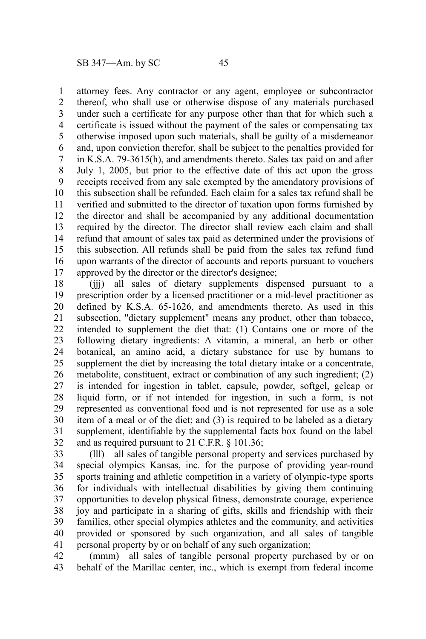attorney fees. Any contractor or any agent, employee or subcontractor thereof, who shall use or otherwise dispose of any materials purchased under such a certificate for any purpose other than that for which such a certificate is issued without the payment of the sales or compensating tax otherwise imposed upon such materials, shall be guilty of a misdemeanor and, upon conviction therefor, shall be subject to the penalties provided for in K.S.A. 79-3615(h), and amendments thereto. Sales tax paid on and after July 1, 2005, but prior to the effective date of this act upon the gross receipts received from any sale exempted by the amendatory provisions of this subsection shall be refunded. Each claim for a sales tax refund shall be verified and submitted to the director of taxation upon forms furnished by the director and shall be accompanied by any additional documentation required by the director. The director shall review each claim and shall refund that amount of sales tax paid as determined under the provisions of this subsection. All refunds shall be paid from the sales tax refund fund upon warrants of the director of accounts and reports pursuant to vouchers approved by the director or the director's designee; 1 2 3 4 5 6 7 8 9 10 11 12 13 14 15 16 17

(jjj) all sales of dietary supplements dispensed pursuant to a prescription order by a licensed practitioner or a mid-level practitioner as defined by K.S.A. 65-1626, and amendments thereto. As used in this subsection, "dietary supplement" means any product, other than tobacco, intended to supplement the diet that: (1) Contains one or more of the following dietary ingredients: A vitamin, a mineral, an herb or other botanical, an amino acid, a dietary substance for use by humans to supplement the diet by increasing the total dietary intake or a concentrate, metabolite, constituent, extract or combination of any such ingredient; (2) is intended for ingestion in tablet, capsule, powder, softgel, gelcap or liquid form, or if not intended for ingestion, in such a form, is not represented as conventional food and is not represented for use as a sole item of a meal or of the diet; and (3) is required to be labeled as a dietary supplement, identifiable by the supplemental facts box found on the label and as required pursuant to 21 C.F.R. § 101.36; 18 19 20 21 22 23 24 25 26 27 28 29 30 31 32

(lll) all sales of tangible personal property and services purchased by special olympics Kansas, inc. for the purpose of providing year-round sports training and athletic competition in a variety of olympic-type sports for individuals with intellectual disabilities by giving them continuing opportunities to develop physical fitness, demonstrate courage, experience joy and participate in a sharing of gifts, skills and friendship with their families, other special olympics athletes and the community, and activities provided or sponsored by such organization, and all sales of tangible personal property by or on behalf of any such organization; 33 34 35 36 37 38 39 40 41

(mmm) all sales of tangible personal property purchased by or on behalf of the Marillac center, inc., which is exempt from federal income 42 43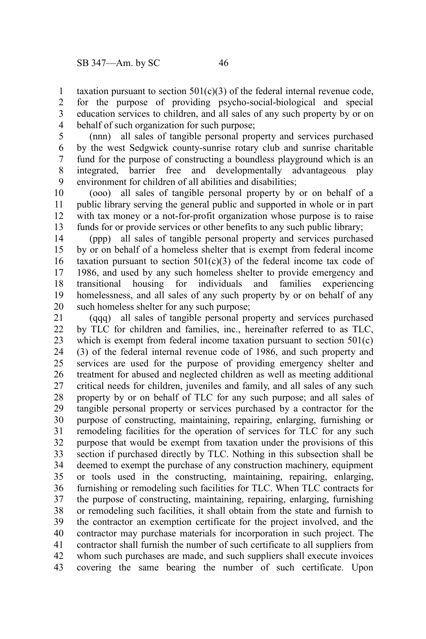taxation pursuant to section  $501(c)(3)$  of the federal internal revenue code, for the purpose of providing psycho-social-biological and special education services to children, and all sales of any such property by or on behalf of such organization for such purpose; 1 2 3 4

(nnn) all sales of tangible personal property and services purchased by the west Sedgwick county-sunrise rotary club and sunrise charitable fund for the purpose of constructing a boundless playground which is an integrated, barrier free and developmentally advantageous play environment for children of all abilities and disabilities; 5 6 7 8 9

(ooo) all sales of tangible personal property by or on behalf of a public library serving the general public and supported in whole or in part with tax money or a not-for-profit organization whose purpose is to raise funds for or provide services or other benefits to any such public library; 10 11 12 13

(ppp) all sales of tangible personal property and services purchased by or on behalf of a homeless shelter that is exempt from federal income taxation pursuant to section  $501(c)(3)$  of the federal income tax code of 1986, and used by any such homeless shelter to provide emergency and transitional housing for individuals and families experiencing homelessness, and all sales of any such property by or on behalf of any such homeless shelter for any such purpose; 14 15 16 17 18 19 20

(qqq) all sales of tangible personal property and services purchased by TLC for children and families, inc., hereinafter referred to as TLC, which is exempt from federal income taxation pursuant to section 501(c) (3) of the federal internal revenue code of 1986, and such property and services are used for the purpose of providing emergency shelter and treatment for abused and neglected children as well as meeting additional critical needs for children, juveniles and family, and all sales of any such property by or on behalf of TLC for any such purpose; and all sales of tangible personal property or services purchased by a contractor for the purpose of constructing, maintaining, repairing, enlarging, furnishing or remodeling facilities for the operation of services for TLC for any such purpose that would be exempt from taxation under the provisions of this section if purchased directly by TLC. Nothing in this subsection shall be deemed to exempt the purchase of any construction machinery, equipment or tools used in the constructing, maintaining, repairing, enlarging, furnishing or remodeling such facilities for TLC. When TLC contracts for the purpose of constructing, maintaining, repairing, enlarging, furnishing or remodeling such facilities, it shall obtain from the state and furnish to the contractor an exemption certificate for the project involved, and the contractor may purchase materials for incorporation in such project. The contractor shall furnish the number of such certificate to all suppliers from whom such purchases are made, and such suppliers shall execute invoices covering the same bearing the number of such certificate. Upon 21 22 23 24 25 26 27 28 29 30 31 32 33 34 35 36 37 38 39 40 41 42 43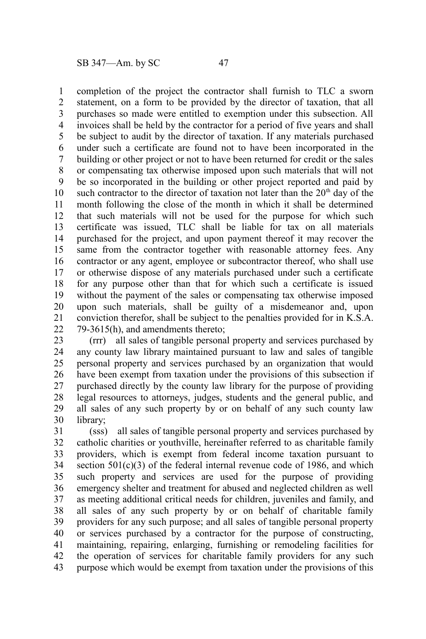completion of the project the contractor shall furnish to TLC a sworn statement, on a form to be provided by the director of taxation, that all purchases so made were entitled to exemption under this subsection. All invoices shall be held by the contractor for a period of five years and shall be subject to audit by the director of taxation. If any materials purchased under such a certificate are found not to have been incorporated in the building or other project or not to have been returned for credit or the sales or compensating tax otherwise imposed upon such materials that will not be so incorporated in the building or other project reported and paid by such contractor to the director of taxation not later than the  $20<sup>th</sup>$  day of the month following the close of the month in which it shall be determined that such materials will not be used for the purpose for which such certificate was issued, TLC shall be liable for tax on all materials purchased for the project, and upon payment thereof it may recover the same from the contractor together with reasonable attorney fees. Any contractor or any agent, employee or subcontractor thereof, who shall use or otherwise dispose of any materials purchased under such a certificate for any purpose other than that for which such a certificate is issued without the payment of the sales or compensating tax otherwise imposed upon such materials, shall be guilty of a misdemeanor and, upon conviction therefor, shall be subject to the penalties provided for in K.S.A. 79-3615(h), and amendments thereto; 1 2 3 4 5 6 7 8 9 10 11 12 13 14 15 16 17 18 19 20 21 22

(rrr) all sales of tangible personal property and services purchased by any county law library maintained pursuant to law and sales of tangible personal property and services purchased by an organization that would have been exempt from taxation under the provisions of this subsection if purchased directly by the county law library for the purpose of providing legal resources to attorneys, judges, students and the general public, and all sales of any such property by or on behalf of any such county law library; 23 24 25 26 27 28 29 30

(sss) all sales of tangible personal property and services purchased by catholic charities or youthville, hereinafter referred to as charitable family providers, which is exempt from federal income taxation pursuant to section 501(c)(3) of the federal internal revenue code of 1986, and which such property and services are used for the purpose of providing emergency shelter and treatment for abused and neglected children as well as meeting additional critical needs for children, juveniles and family, and all sales of any such property by or on behalf of charitable family providers for any such purpose; and all sales of tangible personal property or services purchased by a contractor for the purpose of constructing, maintaining, repairing, enlarging, furnishing or remodeling facilities for the operation of services for charitable family providers for any such purpose which would be exempt from taxation under the provisions of this 31 32 33 34 35 36 37 38 39 40 41 42 43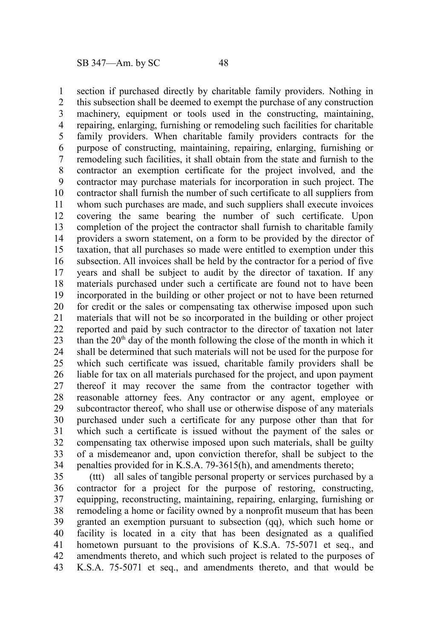section if purchased directly by charitable family providers. Nothing in this subsection shall be deemed to exempt the purchase of any construction machinery, equipment or tools used in the constructing, maintaining, repairing, enlarging, furnishing or remodeling such facilities for charitable family providers. When charitable family providers contracts for the purpose of constructing, maintaining, repairing, enlarging, furnishing or remodeling such facilities, it shall obtain from the state and furnish to the contractor an exemption certificate for the project involved, and the contractor may purchase materials for incorporation in such project. The contractor shall furnish the number of such certificate to all suppliers from whom such purchases are made, and such suppliers shall execute invoices covering the same bearing the number of such certificate. Upon completion of the project the contractor shall furnish to charitable family providers a sworn statement, on a form to be provided by the director of taxation, that all purchases so made were entitled to exemption under this subsection. All invoices shall be held by the contractor for a period of five years and shall be subject to audit by the director of taxation. If any materials purchased under such a certificate are found not to have been incorporated in the building or other project or not to have been returned for credit or the sales or compensating tax otherwise imposed upon such materials that will not be so incorporated in the building or other project reported and paid by such contractor to the director of taxation not later than the  $20<sup>th</sup>$  day of the month following the close of the month in which it shall be determined that such materials will not be used for the purpose for which such certificate was issued, charitable family providers shall be liable for tax on all materials purchased for the project, and upon payment thereof it may recover the same from the contractor together with reasonable attorney fees. Any contractor or any agent, employee or subcontractor thereof, who shall use or otherwise dispose of any materials purchased under such a certificate for any purpose other than that for which such a certificate is issued without the payment of the sales or compensating tax otherwise imposed upon such materials, shall be guilty of a misdemeanor and, upon conviction therefor, shall be subject to the penalties provided for in K.S.A. 79-3615(h), and amendments thereto; 1 2 3 4 5 6 7 8 9 10 11 12 13 14 15 16 17 18 19 20 21 22 23 24 25 26 27 28 29 30 31 32 33 34

(ttt) all sales of tangible personal property or services purchased by a contractor for a project for the purpose of restoring, constructing, equipping, reconstructing, maintaining, repairing, enlarging, furnishing or remodeling a home or facility owned by a nonprofit museum that has been granted an exemption pursuant to subsection (qq), which such home or facility is located in a city that has been designated as a qualified hometown pursuant to the provisions of K.S.A. 75-5071 et seq., and amendments thereto, and which such project is related to the purposes of K.S.A. 75-5071 et seq., and amendments thereto, and that would be 35 36 37 38 39 40 41 42 43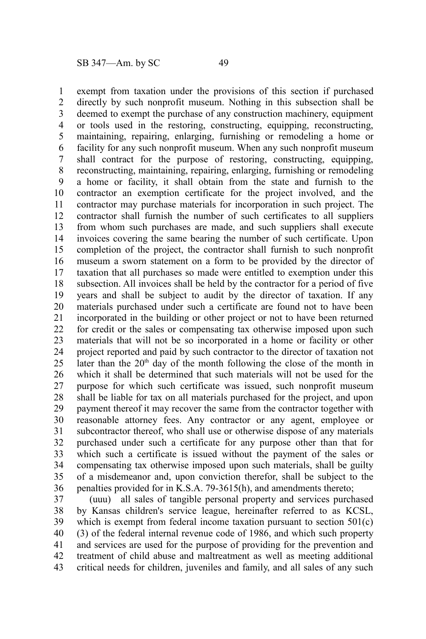exempt from taxation under the provisions of this section if purchased directly by such nonprofit museum. Nothing in this subsection shall be deemed to exempt the purchase of any construction machinery, equipment or tools used in the restoring, constructing, equipping, reconstructing, maintaining, repairing, enlarging, furnishing or remodeling a home or facility for any such nonprofit museum. When any such nonprofit museum shall contract for the purpose of restoring, constructing, equipping, reconstructing, maintaining, repairing, enlarging, furnishing or remodeling a home or facility, it shall obtain from the state and furnish to the contractor an exemption certificate for the project involved, and the contractor may purchase materials for incorporation in such project. The contractor shall furnish the number of such certificates to all suppliers from whom such purchases are made, and such suppliers shall execute invoices covering the same bearing the number of such certificate. Upon completion of the project, the contractor shall furnish to such nonprofit museum a sworn statement on a form to be provided by the director of taxation that all purchases so made were entitled to exemption under this subsection. All invoices shall be held by the contractor for a period of five years and shall be subject to audit by the director of taxation. If any materials purchased under such a certificate are found not to have been incorporated in the building or other project or not to have been returned for credit or the sales or compensating tax otherwise imposed upon such materials that will not be so incorporated in a home or facility or other project reported and paid by such contractor to the director of taxation not later than the  $20<sup>th</sup>$  day of the month following the close of the month in which it shall be determined that such materials will not be used for the purpose for which such certificate was issued, such nonprofit museum shall be liable for tax on all materials purchased for the project, and upon payment thereof it may recover the same from the contractor together with reasonable attorney fees. Any contractor or any agent, employee or subcontractor thereof, who shall use or otherwise dispose of any materials purchased under such a certificate for any purpose other than that for which such a certificate is issued without the payment of the sales or compensating tax otherwise imposed upon such materials, shall be guilty of a misdemeanor and, upon conviction therefor, shall be subject to the penalties provided for in K.S.A. 79-3615(h), and amendments thereto; 1 2 3 4 5 6 7 8 9 10 11 12 13 14 15 16 17 18 19 20 21 22 23 24 25 26 27 28 29 30 31 32 33 34 35 36

(uuu) all sales of tangible personal property and services purchased by Kansas children's service league, hereinafter referred to as KCSL, which is exempt from federal income taxation pursuant to section  $501(c)$ (3) of the federal internal revenue code of 1986, and which such property and services are used for the purpose of providing for the prevention and treatment of child abuse and maltreatment as well as meeting additional critical needs for children, juveniles and family, and all sales of any such 37 38 39 40 41 42 43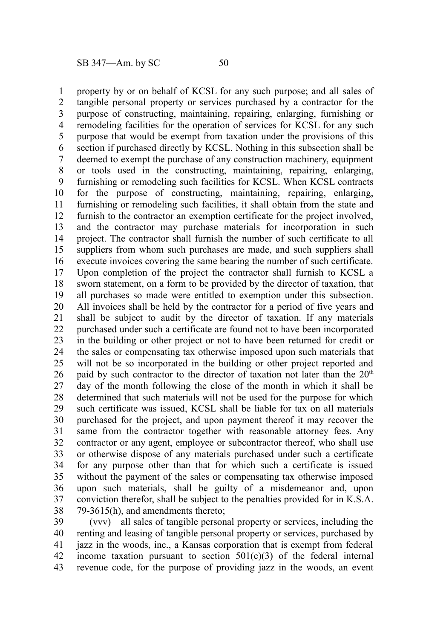property by or on behalf of KCSL for any such purpose; and all sales of tangible personal property or services purchased by a contractor for the purpose of constructing, maintaining, repairing, enlarging, furnishing or remodeling facilities for the operation of services for KCSL for any such purpose that would be exempt from taxation under the provisions of this section if purchased directly by KCSL. Nothing in this subsection shall be deemed to exempt the purchase of any construction machinery, equipment or tools used in the constructing, maintaining, repairing, enlarging, furnishing or remodeling such facilities for KCSL. When KCSL contracts for the purpose of constructing, maintaining, repairing, enlarging, furnishing or remodeling such facilities, it shall obtain from the state and furnish to the contractor an exemption certificate for the project involved, and the contractor may purchase materials for incorporation in such project. The contractor shall furnish the number of such certificate to all suppliers from whom such purchases are made, and such suppliers shall execute invoices covering the same bearing the number of such certificate. Upon completion of the project the contractor shall furnish to KCSL a sworn statement, on a form to be provided by the director of taxation, that all purchases so made were entitled to exemption under this subsection. All invoices shall be held by the contractor for a period of five years and shall be subject to audit by the director of taxation. If any materials purchased under such a certificate are found not to have been incorporated in the building or other project or not to have been returned for credit or the sales or compensating tax otherwise imposed upon such materials that will not be so incorporated in the building or other project reported and paid by such contractor to the director of taxation not later than the  $20<sup>th</sup>$ day of the month following the close of the month in which it shall be determined that such materials will not be used for the purpose for which such certificate was issued, KCSL shall be liable for tax on all materials purchased for the project, and upon payment thereof it may recover the same from the contractor together with reasonable attorney fees. Any contractor or any agent, employee or subcontractor thereof, who shall use or otherwise dispose of any materials purchased under such a certificate for any purpose other than that for which such a certificate is issued without the payment of the sales or compensating tax otherwise imposed upon such materials, shall be guilty of a misdemeanor and, upon conviction therefor, shall be subject to the penalties provided for in K.S.A. 79-3615(h), and amendments thereto; 1 2 3 4 5 6 7 8 9 10 11 12 13 14 15 16 17 18 19 20 21 22 23 24 25 26 27 28 29 30 31 32 33 34 35 36 37 38

(vvv) all sales of tangible personal property or services, including the renting and leasing of tangible personal property or services, purchased by jazz in the woods, inc., a Kansas corporation that is exempt from federal income taxation pursuant to section  $501(c)(3)$  of the federal internal revenue code, for the purpose of providing jazz in the woods, an event 39 40 41 42 43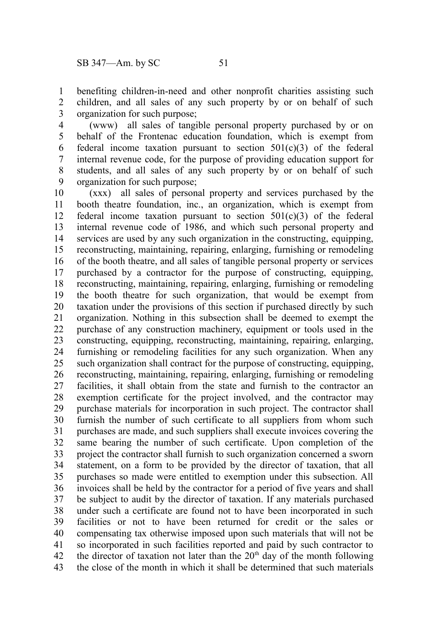benefiting children-in-need and other nonprofit charities assisting such children, and all sales of any such property by or on behalf of such organization for such purpose; 1 2 3

(www) all sales of tangible personal property purchased by or on behalf of the Frontenac education foundation, which is exempt from federal income taxation pursuant to section  $501(c)(3)$  of the federal internal revenue code, for the purpose of providing education support for students, and all sales of any such property by or on behalf of such organization for such purpose; 4 5 6 7 8 9

(xxx) all sales of personal property and services purchased by the booth theatre foundation, inc., an organization, which is exempt from federal income taxation pursuant to section  $501(c)(3)$  of the federal internal revenue code of 1986, and which such personal property and services are used by any such organization in the constructing, equipping, reconstructing, maintaining, repairing, enlarging, furnishing or remodeling of the booth theatre, and all sales of tangible personal property or services purchased by a contractor for the purpose of constructing, equipping, reconstructing, maintaining, repairing, enlarging, furnishing or remodeling the booth theatre for such organization, that would be exempt from taxation under the provisions of this section if purchased directly by such organization. Nothing in this subsection shall be deemed to exempt the purchase of any construction machinery, equipment or tools used in the constructing, equipping, reconstructing, maintaining, repairing, enlarging, furnishing or remodeling facilities for any such organization. When any such organization shall contract for the purpose of constructing, equipping, reconstructing, maintaining, repairing, enlarging, furnishing or remodeling facilities, it shall obtain from the state and furnish to the contractor an exemption certificate for the project involved, and the contractor may purchase materials for incorporation in such project. The contractor shall furnish the number of such certificate to all suppliers from whom such purchases are made, and such suppliers shall execute invoices covering the same bearing the number of such certificate. Upon completion of the project the contractor shall furnish to such organization concerned a sworn statement, on a form to be provided by the director of taxation, that all purchases so made were entitled to exemption under this subsection. All invoices shall be held by the contractor for a period of five years and shall be subject to audit by the director of taxation. If any materials purchased under such a certificate are found not to have been incorporated in such facilities or not to have been returned for credit or the sales or compensating tax otherwise imposed upon such materials that will not be so incorporated in such facilities reported and paid by such contractor to the director of taxation not later than the  $20<sup>th</sup>$  day of the month following the close of the month in which it shall be determined that such materials 10 11 12 13 14 15 16 17 18 19 20 21 22 23 24 25 26 27 28 29 30 31 32 33 34 35 36 37 38 39 40 41 42 43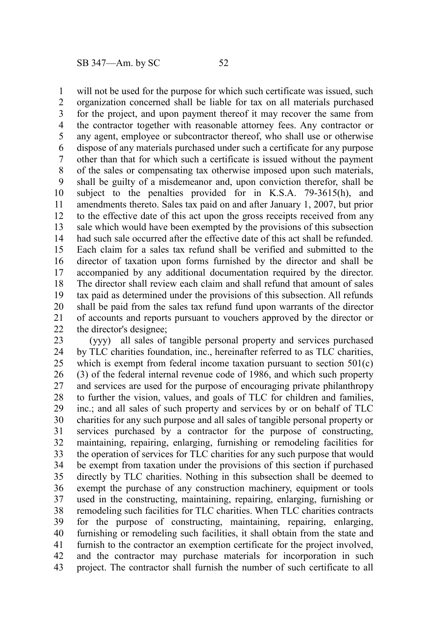will not be used for the purpose for which such certificate was issued, such organization concerned shall be liable for tax on all materials purchased for the project, and upon payment thereof it may recover the same from the contractor together with reasonable attorney fees. Any contractor or any agent, employee or subcontractor thereof, who shall use or otherwise dispose of any materials purchased under such a certificate for any purpose other than that for which such a certificate is issued without the payment of the sales or compensating tax otherwise imposed upon such materials, shall be guilty of a misdemeanor and, upon conviction therefor, shall be subject to the penalties provided for in K.S.A. 79-3615(h), and amendments thereto. Sales tax paid on and after January 1, 2007, but prior to the effective date of this act upon the gross receipts received from any sale which would have been exempted by the provisions of this subsection had such sale occurred after the effective date of this act shall be refunded. Each claim for a sales tax refund shall be verified and submitted to the director of taxation upon forms furnished by the director and shall be accompanied by any additional documentation required by the director. The director shall review each claim and shall refund that amount of sales tax paid as determined under the provisions of this subsection. All refunds shall be paid from the sales tax refund fund upon warrants of the director of accounts and reports pursuant to vouchers approved by the director or the director's designee; 1 2 3 4 5 6 7 8 9 10 11 12 13 14 15 16 17 18 19 20 21 22

(yyy) all sales of tangible personal property and services purchased by TLC charities foundation, inc., hereinafter referred to as TLC charities, which is exempt from federal income taxation pursuant to section 501(c) (3) of the federal internal revenue code of 1986, and which such property and services are used for the purpose of encouraging private philanthropy to further the vision, values, and goals of TLC for children and families, inc.; and all sales of such property and services by or on behalf of TLC charities for any such purpose and all sales of tangible personal property or services purchased by a contractor for the purpose of constructing, maintaining, repairing, enlarging, furnishing or remodeling facilities for the operation of services for TLC charities for any such purpose that would be exempt from taxation under the provisions of this section if purchased directly by TLC charities. Nothing in this subsection shall be deemed to exempt the purchase of any construction machinery, equipment or tools used in the constructing, maintaining, repairing, enlarging, furnishing or remodeling such facilities for TLC charities. When TLC charities contracts for the purpose of constructing, maintaining, repairing, enlarging, furnishing or remodeling such facilities, it shall obtain from the state and furnish to the contractor an exemption certificate for the project involved, and the contractor may purchase materials for incorporation in such project. The contractor shall furnish the number of such certificate to all 23 24 25 26 27 28 29 30 31 32 33 34 35 36 37 38 39 40 41 42 43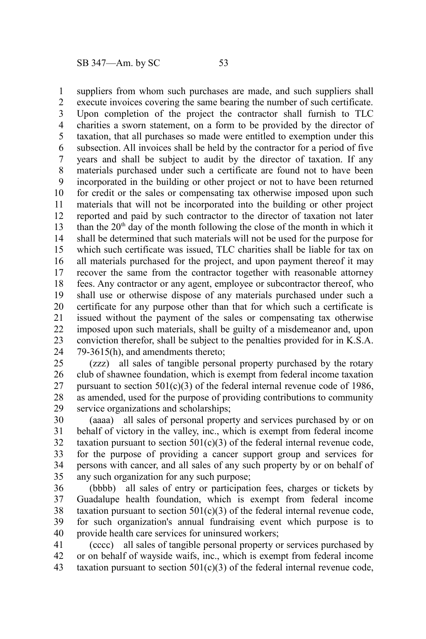suppliers from whom such purchases are made, and such suppliers shall 1

execute invoices covering the same bearing the number of such certificate. Upon completion of the project the contractor shall furnish to TLC charities a sworn statement, on a form to be provided by the director of taxation, that all purchases so made were entitled to exemption under this subsection. All invoices shall be held by the contractor for a period of five years and shall be subject to audit by the director of taxation. If any materials purchased under such a certificate are found not to have been incorporated in the building or other project or not to have been returned for credit or the sales or compensating tax otherwise imposed upon such materials that will not be incorporated into the building or other project reported and paid by such contractor to the director of taxation not later than the  $20<sup>th</sup>$  day of the month following the close of the month in which it shall be determined that such materials will not be used for the purpose for which such certificate was issued, TLC charities shall be liable for tax on all materials purchased for the project, and upon payment thereof it may recover the same from the contractor together with reasonable attorney fees. Any contractor or any agent, employee or subcontractor thereof, who shall use or otherwise dispose of any materials purchased under such a certificate for any purpose other than that for which such a certificate is issued without the payment of the sales or compensating tax otherwise imposed upon such materials, shall be guilty of a misdemeanor and, upon conviction therefor, shall be subject to the penalties provided for in K.S.A. 79-3615(h), and amendments thereto; 2 3 4 5 6 7 8 9 10 11 12 13 14 15 16 17 18 19 20 21 22 23 24

(zzz) all sales of tangible personal property purchased by the rotary club of shawnee foundation, which is exempt from federal income taxation pursuant to section  $501(c)(3)$  of the federal internal revenue code of 1986, as amended, used for the purpose of providing contributions to community service organizations and scholarships; 25 26 27 28 29

(aaaa) all sales of personal property and services purchased by or on behalf of victory in the valley, inc., which is exempt from federal income taxation pursuant to section  $501(c)(3)$  of the federal internal revenue code, for the purpose of providing a cancer support group and services for persons with cancer, and all sales of any such property by or on behalf of any such organization for any such purpose; 30 31 32 33 34 35

(bbbb) all sales of entry or participation fees, charges or tickets by Guadalupe health foundation, which is exempt from federal income taxation pursuant to section  $501(c)(3)$  of the federal internal revenue code, for such organization's annual fundraising event which purpose is to provide health care services for uninsured workers; 36 37 38 39 40

(cccc) all sales of tangible personal property or services purchased by or on behalf of wayside waifs, inc., which is exempt from federal income taxation pursuant to section  $501(c)(3)$  of the federal internal revenue code, 41 42 43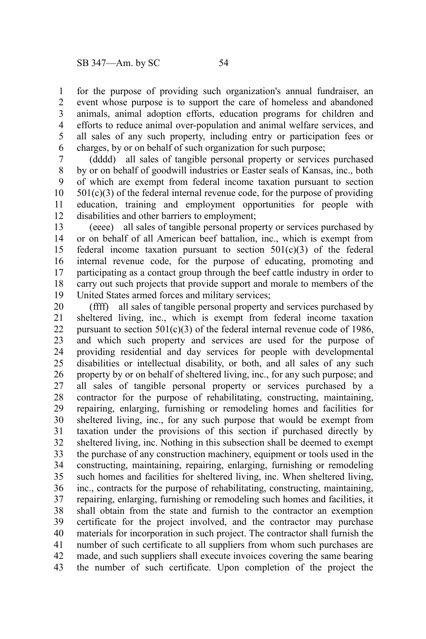for the purpose of providing such organization's annual fundraiser, an event whose purpose is to support the care of homeless and abandoned animals, animal adoption efforts, education programs for children and efforts to reduce animal over-population and animal welfare services, and all sales of any such property, including entry or participation fees or charges, by or on behalf of such organization for such purpose; 1 2 3 4 5 6

(dddd) all sales of tangible personal property or services purchased by or on behalf of goodwill industries or Easter seals of Kansas, inc., both of which are exempt from federal income taxation pursuant to section  $501(c)(3)$  of the federal internal revenue code, for the purpose of providing education, training and employment opportunities for people with disabilities and other barriers to employment; 7 8 9 10 11 12

(eeee) all sales of tangible personal property or services purchased by or on behalf of all American beef battalion, inc., which is exempt from federal income taxation pursuant to section  $501(c)(3)$  of the federal internal revenue code, for the purpose of educating, promoting and participating as a contact group through the beef cattle industry in order to carry out such projects that provide support and morale to members of the United States armed forces and military services; 13 14 15 16 17 18 19

(ffff) all sales of tangible personal property and services purchased by sheltered living, inc., which is exempt from federal income taxation pursuant to section  $501(c)(3)$  of the federal internal revenue code of 1986, and which such property and services are used for the purpose of providing residential and day services for people with developmental disabilities or intellectual disability, or both, and all sales of any such property by or on behalf of sheltered living, inc., for any such purpose; and all sales of tangible personal property or services purchased by a contractor for the purpose of rehabilitating, constructing, maintaining, repairing, enlarging, furnishing or remodeling homes and facilities for sheltered living, inc., for any such purpose that would be exempt from taxation under the provisions of this section if purchased directly by sheltered living, inc. Nothing in this subsection shall be deemed to exempt the purchase of any construction machinery, equipment or tools used in the constructing, maintaining, repairing, enlarging, furnishing or remodeling such homes and facilities for sheltered living, inc. When sheltered living, inc., contracts for the purpose of rehabilitating, constructing, maintaining, repairing, enlarging, furnishing or remodeling such homes and facilities, it shall obtain from the state and furnish to the contractor an exemption certificate for the project involved, and the contractor may purchase materials for incorporation in such project. The contractor shall furnish the number of such certificate to all suppliers from whom such purchases are made, and such suppliers shall execute invoices covering the same bearing the number of such certificate. Upon completion of the project the 20 21 22 23 24 25 26 27 28 29 30 31 32 33 34 35 36 37 38 39 40 41 42 43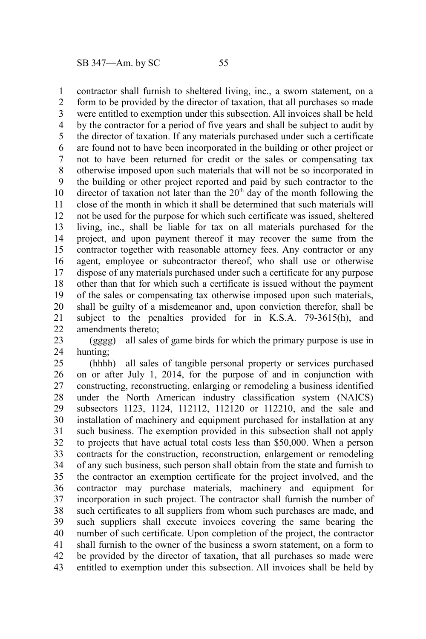contractor shall furnish to sheltered living, inc., a sworn statement, on a form to be provided by the director of taxation, that all purchases so made were entitled to exemption under this subsection. All invoices shall be held by the contractor for a period of five years and shall be subject to audit by the director of taxation. If any materials purchased under such a certificate are found not to have been incorporated in the building or other project or not to have been returned for credit or the sales or compensating tax otherwise imposed upon such materials that will not be so incorporated in the building or other project reported and paid by such contractor to the director of taxation not later than the  $20<sup>th</sup>$  day of the month following the close of the month in which it shall be determined that such materials will not be used for the purpose for which such certificate was issued, sheltered living, inc., shall be liable for tax on all materials purchased for the project, and upon payment thereof it may recover the same from the contractor together with reasonable attorney fees. Any contractor or any agent, employee or subcontractor thereof, who shall use or otherwise dispose of any materials purchased under such a certificate for any purpose other than that for which such a certificate is issued without the payment of the sales or compensating tax otherwise imposed upon such materials, shall be guilty of a misdemeanor and, upon conviction therefor, shall be subject to the penalties provided for in K.S.A. 79-3615(h), and amendments thereto; 1 2 3 4 5 6 7 8 9 10 11 12 13 14 15 16 17 18 19 20 21 22

(gggg) all sales of game birds for which the primary purpose is use in hunting; 23 24

(hhhh) all sales of tangible personal property or services purchased on or after July 1, 2014, for the purpose of and in conjunction with constructing, reconstructing, enlarging or remodeling a business identified under the North American industry classification system (NAICS) subsectors 1123, 1124, 112112, 112120 or 112210, and the sale and installation of machinery and equipment purchased for installation at any such business. The exemption provided in this subsection shall not apply to projects that have actual total costs less than \$50,000. When a person contracts for the construction, reconstruction, enlargement or remodeling of any such business, such person shall obtain from the state and furnish to the contractor an exemption certificate for the project involved, and the contractor may purchase materials, machinery and equipment for incorporation in such project. The contractor shall furnish the number of such certificates to all suppliers from whom such purchases are made, and such suppliers shall execute invoices covering the same bearing the number of such certificate. Upon completion of the project, the contractor shall furnish to the owner of the business a sworn statement, on a form to be provided by the director of taxation, that all purchases so made were entitled to exemption under this subsection. All invoices shall be held by 25 26 27 28 29 30 31 32 33 34 35 36 37 38 39 40 41 42 43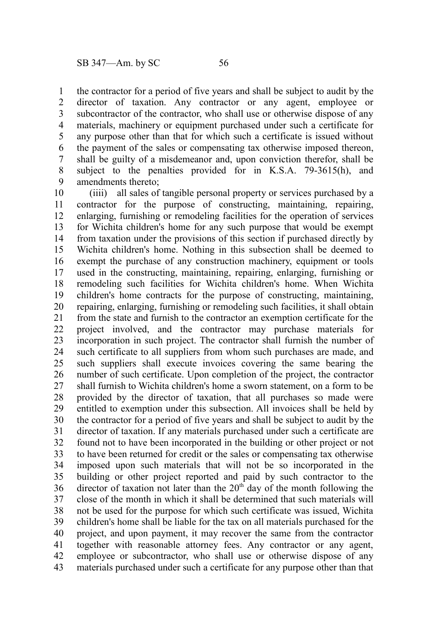the contractor for a period of five years and shall be subject to audit by the director of taxation. Any contractor or any agent, employee or subcontractor of the contractor, who shall use or otherwise dispose of any materials, machinery or equipment purchased under such a certificate for any purpose other than that for which such a certificate is issued without the payment of the sales or compensating tax otherwise imposed thereon, shall be guilty of a misdemeanor and, upon conviction therefor, shall be subject to the penalties provided for in K.S.A. 79-3615(h), and amendments thereto; 1 2 3 4 5 6 7 8 9

(iiii) all sales of tangible personal property or services purchased by a contractor for the purpose of constructing, maintaining, repairing, enlarging, furnishing or remodeling facilities for the operation of services for Wichita children's home for any such purpose that would be exempt from taxation under the provisions of this section if purchased directly by Wichita children's home. Nothing in this subsection shall be deemed to exempt the purchase of any construction machinery, equipment or tools used in the constructing, maintaining, repairing, enlarging, furnishing or remodeling such facilities for Wichita children's home. When Wichita children's home contracts for the purpose of constructing, maintaining, repairing, enlarging, furnishing or remodeling such facilities, it shall obtain from the state and furnish to the contractor an exemption certificate for the project involved, and the contractor may purchase materials for incorporation in such project. The contractor shall furnish the number of such certificate to all suppliers from whom such purchases are made, and such suppliers shall execute invoices covering the same bearing the number of such certificate. Upon completion of the project, the contractor shall furnish to Wichita children's home a sworn statement, on a form to be provided by the director of taxation, that all purchases so made were entitled to exemption under this subsection. All invoices shall be held by the contractor for a period of five years and shall be subject to audit by the director of taxation. If any materials purchased under such a certificate are found not to have been incorporated in the building or other project or not to have been returned for credit or the sales or compensating tax otherwise imposed upon such materials that will not be so incorporated in the building or other project reported and paid by such contractor to the director of taxation not later than the  $20<sup>th</sup>$  day of the month following the close of the month in which it shall be determined that such materials will not be used for the purpose for which such certificate was issued, Wichita children's home shall be liable for the tax on all materials purchased for the project, and upon payment, it may recover the same from the contractor together with reasonable attorney fees. Any contractor or any agent, employee or subcontractor, who shall use or otherwise dispose of any materials purchased under such a certificate for any purpose other than that 10 11 12 13 14 15 16 17 18 19 20 21 22 23 24 25 26 27 28 29 30 31 32 33 34 35 36 37 38 39 40 41 42 43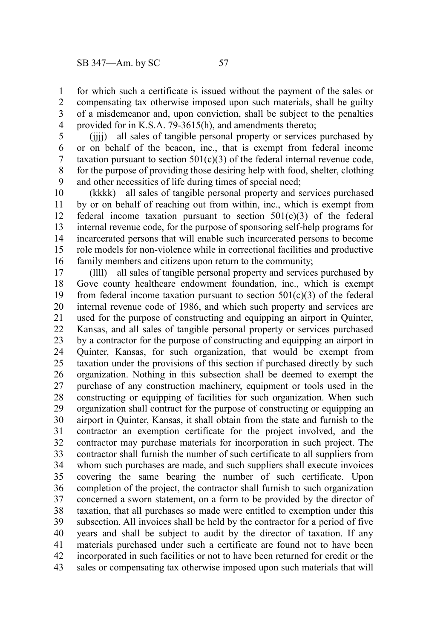for which such a certificate is issued without the payment of the sales or compensating tax otherwise imposed upon such materials, shall be guilty of a misdemeanor and, upon conviction, shall be subject to the penalties provided for in K.S.A. 79-3615(h), and amendments thereto; 1 2 3 4

(jjjj) all sales of tangible personal property or services purchased by or on behalf of the beacon, inc., that is exempt from federal income taxation pursuant to section  $501(c)(3)$  of the federal internal revenue code, for the purpose of providing those desiring help with food, shelter, clothing and other necessities of life during times of special need; 5 6 7 8 9

(kkkk) all sales of tangible personal property and services purchased by or on behalf of reaching out from within, inc., which is exempt from federal income taxation pursuant to section  $501(c)(3)$  of the federal internal revenue code, for the purpose of sponsoring self-help programs for incarcerated persons that will enable such incarcerated persons to become role models for non-violence while in correctional facilities and productive family members and citizens upon return to the community; 10 11 12 13 14 15 16

(llll) all sales of tangible personal property and services purchased by Gove county healthcare endowment foundation, inc., which is exempt from federal income taxation pursuant to section  $501(c)(3)$  of the federal internal revenue code of 1986, and which such property and services are used for the purpose of constructing and equipping an airport in Quinter, Kansas, and all sales of tangible personal property or services purchased by a contractor for the purpose of constructing and equipping an airport in Quinter, Kansas, for such organization, that would be exempt from taxation under the provisions of this section if purchased directly by such organization. Nothing in this subsection shall be deemed to exempt the purchase of any construction machinery, equipment or tools used in the constructing or equipping of facilities for such organization. When such organization shall contract for the purpose of constructing or equipping an airport in Quinter, Kansas, it shall obtain from the state and furnish to the contractor an exemption certificate for the project involved, and the contractor may purchase materials for incorporation in such project. The contractor shall furnish the number of such certificate to all suppliers from whom such purchases are made, and such suppliers shall execute invoices covering the same bearing the number of such certificate. Upon completion of the project, the contractor shall furnish to such organization concerned a sworn statement, on a form to be provided by the director of taxation, that all purchases so made were entitled to exemption under this subsection. All invoices shall be held by the contractor for a period of five years and shall be subject to audit by the director of taxation. If any materials purchased under such a certificate are found not to have been incorporated in such facilities or not to have been returned for credit or the sales or compensating tax otherwise imposed upon such materials that will 17 18 19 20 21 22 23 24 25 26 27 28 29 30 31 32 33 34 35 36 37 38 39 40 41 42 43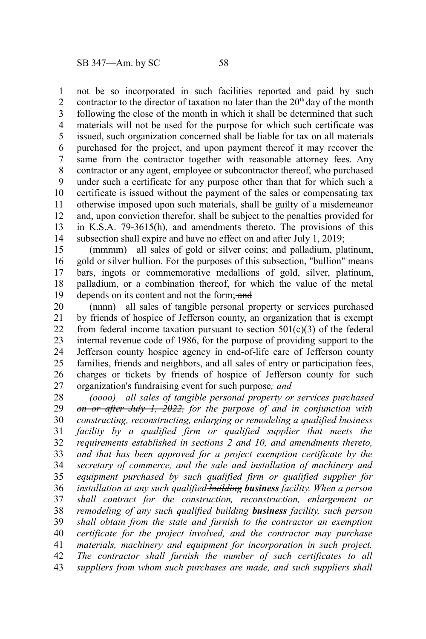not be so incorporated in such facilities reported and paid by such contractor to the director of taxation no later than the  $20<sup>th</sup>$  day of the month following the close of the month in which it shall be determined that such materials will not be used for the purpose for which such certificate was issued, such organization concerned shall be liable for tax on all materials purchased for the project, and upon payment thereof it may recover the same from the contractor together with reasonable attorney fees. Any contractor or any agent, employee or subcontractor thereof, who purchased under such a certificate for any purpose other than that for which such a certificate is issued without the payment of the sales or compensating tax otherwise imposed upon such materials, shall be guilty of a misdemeanor and, upon conviction therefor, shall be subject to the penalties provided for in K.S.A. 79-3615(h), and amendments thereto. The provisions of this subsection shall expire and have no effect on and after July 1, 2019; 1 2 3 4 5 6 7 8 9 10 11 12 13 14

(mmmm) all sales of gold or silver coins; and palladium, platinum, gold or silver bullion. For the purposes of this subsection, "bullion" means bars, ingots or commemorative medallions of gold, silver, platinum, palladium, or a combination thereof, for which the value of the metal depends on its content and not the form; and 15 16 17 18 19

(nnnn) all sales of tangible personal property or services purchased by friends of hospice of Jefferson county, an organization that is exempt from federal income taxation pursuant to section  $501(c)(3)$  of the federal internal revenue code of 1986, for the purpose of providing support to the Jefferson county hospice agency in end-of-life care of Jefferson county families, friends and neighbors, and all sales of entry or participation fees, charges or tickets by friends of hospice of Jefferson county for such organization's fundraising event for such purpose*; and* 20 21 22 23 24 25 26 27

*(oooo) all sales of tangible personal property or services purchased on or after July 1, 2022, for the purpose of and in conjunction with constructing, reconstructing, enlarging or remodeling a qualified business facility by a qualified firm or qualified supplier that meets the requirements established in sections 2 and 10, and amendments thereto, and that has been approved for a project exemption certificate by the secretary of commerce, and the sale and installation of machinery and equipment purchased by such qualified firm or qualified supplier for installation at any such qualified building business facility. When a person shall contract for the construction, reconstruction, enlargement or remodeling of any such qualified building business facility, such person shall obtain from the state and furnish to the contractor an exemption certificate for the project involved, and the contractor may purchase materials, machinery and equipment for incorporation in such project. The contractor shall furnish the number of such certificates to all suppliers from whom such purchases are made, and such suppliers shall* 28 29 30 31 32 33 34 35 36 37 38 39 40 41 42 43